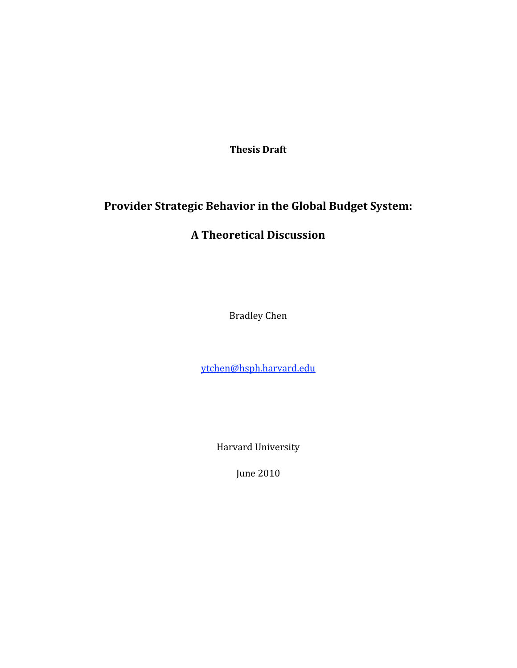**Thesis
Draft**

# **Provider Strategic Behavior in the Global Budget System:**

# **A Theoretical Discussion**

Bradley
Chen

ytchen@hsph.harvard.edu

Harvard
University

June
2010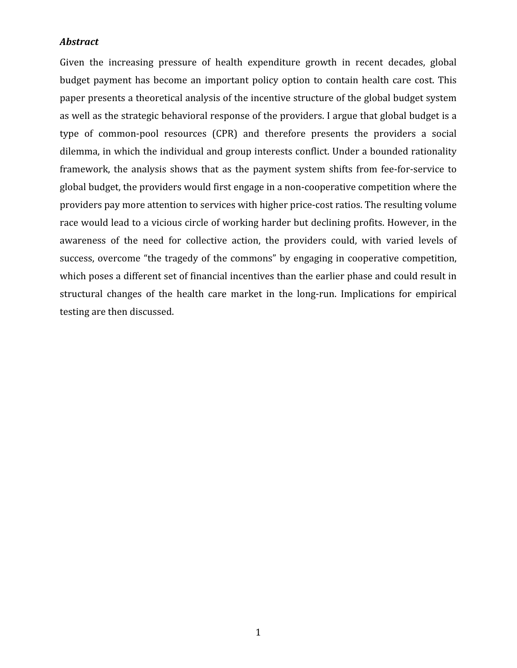### *Abstract*

Given the increasing pressure of health expenditure growth in recent decades, global budget payment has become an important policy option to contain health care cost. This paper
presents
a
theoretical
analysis
of
the
incentive
structure
of
the
global
budget
system as well as the strategic behavioral response of the providers. I argue that global budget is a type of common-pool resources (CPR) and therefore presents the providers a social dilemma, in which the individual and group interests conflict. Under a bounded rationality framework, the analysis shows that as the payment system shifts from fee-for-service to global
budget,
the
providers
would
first
engage
in
a
non‐cooperative
competition
where
the providers pay more attention to services with higher price-cost ratios. The resulting volume race would lead to a vicious circle of working harder but declining profits. However, in the awareness of the need for collective action, the providers could, with varied levels of success, overcome "the tragedy of the commons" by engaging in cooperative competition, which poses a different set of financial incentives than the earlier phase and could result in structural changes of the health care market in the long-run. Implications for empirical testing
are
then
discussed.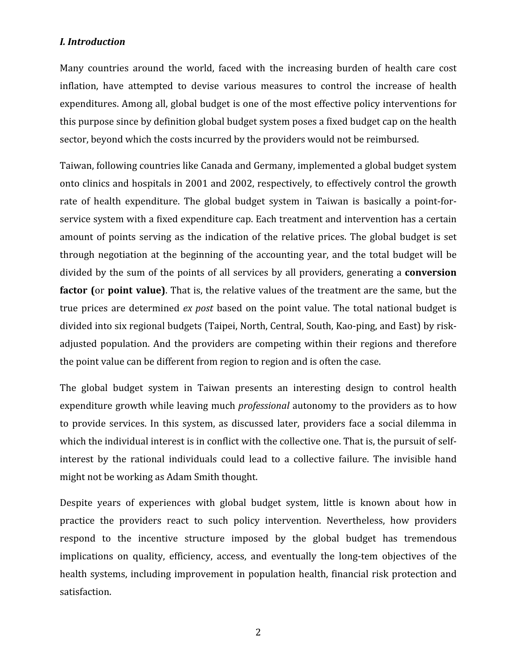# *I.
Introduction*

Many countries around the world, faced with the increasing burden of health care cost inflation, have attempted to devise various measures to control the increase of health expenditures.
Among
all,
global
budget
is
one
of
the
most
effective
policy
interventions
for this
purpose
since
by
definition
global
budget
system
poses
a
fixed
budget
cap
on
the
health sector, beyond which the costs incurred by the providers would not be reimbursed.

Taiwan,
following
countries
like
Canada
and
Germany,
implemented
a
global
budget
system onto
clinics
and
hospitals
in
2001
and
2002,
respectively,
to
effectively
control
the
growth rate of health expenditure. The global budget system in Taiwan is basically a point-forservice system with a fixed expenditure cap. Each treatment and intervention has a certain amount of points serving as the indication of the relative prices. The global budget is set through negotiation at the beginning of the accounting year, and the total budget will be divided by the sum of the points of all services by all providers, generating a **conversion factor** (or **point value**). That is, the relative values of the treatment are the same, but the true prices are determined *ex post* based on the point value. The total national budget is divided into six regional budgets (Taipei, North, Central, South, Kao-ping, and East) by riskadjusted population. And the providers are competing within their regions and therefore the
point
value
can
be
different
from
region
to
region
and
is
often
the
case.

The global budget system in Taiwan presents an interesting design to control health expenditure growth while leaving much *professional* autonomy to the providers as to how to provide services. In this system, as discussed later, providers face a social dilemma in which the individual interest is in conflict with the collective one. That is, the pursuit of selfinterest by the rational individuals could lead to a collective failure. The invisible hand might
not
be
working
as
Adam
Smith
thought.

Despite years of experiences with global budget system, little is known about how in practice the providers react to such policy intervention. Nevertheless, how providers respond to the incentive structure imposed by the global budget has tremendous implications on quality, efficiency, access, and eventually the long-tem objectives of the health systems, including improvement in population health, financial risk protection and satisfaction.

2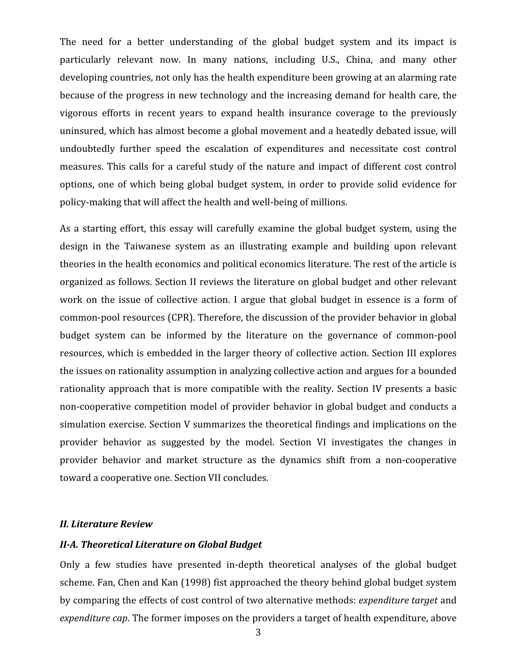The need for a better understanding of the global budget system and its impact is particularly relevant now. In many nations, including U.S., China, and many other developing countries, not only has the health expenditure been growing at an alarming rate because of the progress in new technology and the increasing demand for health care, the vigorous efforts in recent vears to expand health insurance coverage to the previously uninsured, which has almost become a global movement and a heatedly debated issue, will undoubtedly further speed the escalation of expenditures and necessitate cost control measures. This calls for a careful study of the nature and impact of different cost control options, one of
which being global budget system, in order
to provide solid evidence
for policy‐making
that
will
affect
the
health
and
well‐being
of
millions.

As a starting effort, this essay will carefully examine the global budget system, using the design in the Taiwanese system as an illustrating example and building upon relevant theories in the health economics and political economics literature. The rest of the article is organized
as
follows.
Section
II
reviews
the
literature
on
global
budget
and
other
relevant work on the issue of collective action. I argue that global budget in essence is a form of common‐pool
resources
(CPR).
Therefore,
the
discussion
of
the
provider
behavior
in
global budget system can be informed by the literature on the governance of common‐pool resources, which is embedded in the larger theory of collective action. Section III explores the
issues on
rationality
assumption
in
analyzing
collective
action and
argues for
a
bounded rationality approach that is more compatible with the reality. Section IV presents a basic non-cooperative competition model of provider behavior in global budget and conducts a simulation
exercise.
Section
V
summarizes
the
theoretical
findings and
implications
on
the provider behavior as suggested by the model. Section VI investigates the changes in provider behavior and market structure as the dynamics shift from a non-cooperative toward
a
cooperative
one.
Section
VII
concludes.

#### *II.
Literature
Review*

# *IIA.
Theoretical
Literature
on
Global
Budget*

Only a few studies have presented in-depth theoretical analyses of the global budget scheme.
Fan,
Chen
and
Kan
(1998)
fist
approached
the
theory
behind
global
budget
system by
comparing
the
effects
of
cost
control
of
two
alternative
methods: *expenditure
target* and expenditure cap. The former imposes on the providers a target of health expenditure, above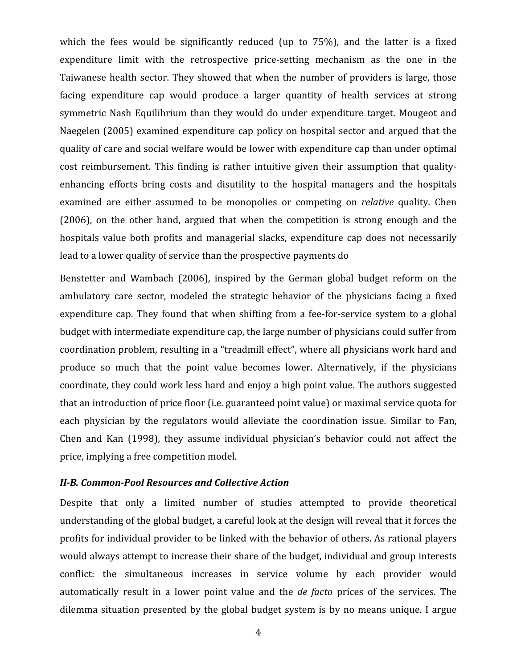which the fees would be significantly reduced (up to 75%), and the latter is a fixed expenditure limit with the retrospective price-setting mechanism as the one in the Taiwanese health sector. They showed that when the number of providers is large, those facing expenditure cap would produce a larger quantity of health services at strong symmetric Nash Equilibrium than they would do under expenditure target. Mougeot and Naegelen (2005) examined expenditure cap policy on hospital sector and argued that the quality
of
care
and
social
welfare
would
be
lower
with
expenditure
cap
than
under
optimal cost reimbursement. This finding is rather intuitive given their assumption that qualityenhancing efforts bring costs and disutility to the hospital managers and the hospitals examined are either assumed to be monopolies or competing on *relative* quality. Chen (2006), on the other hand, argued that when the competition is strong enough and the hospitals value both profits and managerial slacks, expenditure cap does not necessarily lead to a lower quality of service than the prospective payments do

Benstetter and Wambach (2006), inspired by the German global budget reform on the ambulatory care sector, modeled the strategic behavior of the physicians facing a fixed expenditure cap. They found that when shifting from a fee-for-service system to a global budget
with
intermediate
expenditure
cap,
the
large
number
of
physicians
could
suffer
from coordination
problem,
resulting
in
a
"treadmill
effect",
where
all
physicians
work
hard
and produce so much that the point value becomes lower. Alternatively, if the physicians coordinate,
they
could
work
less
hard
and
enjoy
a
high
point
value.
The
authors
suggested that an introduction of price floor (i.e. guaranteed point value) or maximal service quota for each physician by the regulators would alleviate the coordination issue. Similar to Fan, Chen and Kan (1998), they assume individual physician's behavior could not affect the price,
implying
a
free
competition
model.

#### II-B. Common-Pool Resources and Collective Action

Despite that only a limited number of studies attempted to provide theoretical understanding of the global budget, a careful look at the design will reveal that it forces the profits for individual provider to be linked with the behavior of others. As rational players would always attempt to increase their share of the budget, individual and group interests conflict: the simultaneous increases in service volume by each provider would automatically result in a lower point value and the *de facto* prices of the services. The dilemma situation presented by the global budget system is by no means unique. I argue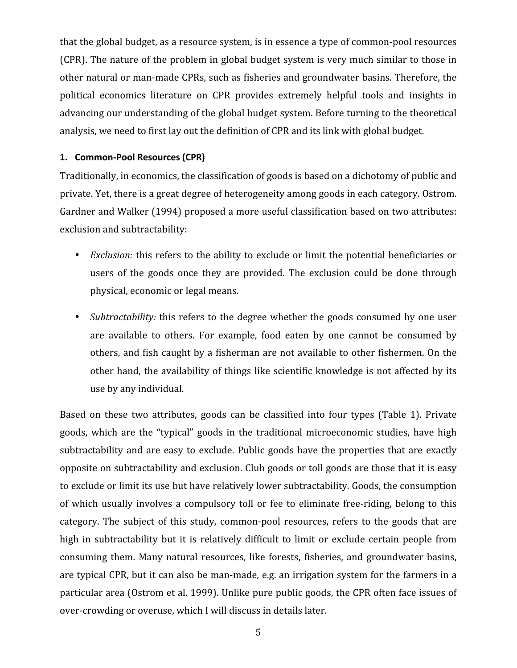that the global budget, as a resource system, is in essence a type of common-pool resources (CPR).
The
nature
of
the
problem
in
global
budget
system
is
very
much
similar
to
those
in other natural or man-made CPRs, such as fisheries and groundwater basins. Therefore, the political economics literature on CPR provides extremely helpful tools and insights in advancing our understanding of the global budget system. Before turning to the theoretical analysis, we need to first lay out the definition of CPR and its link with global budget.

### **1. Common‐Pool
Resources
(CPR)**

Traditionally, in economics, the classification of goods is based on a dichotomy of public and private.
Yet,
there
is
a
great
degree
of
heterogeneity
among
goods
in
each
category.
Ostrom. Gardner and Walker (1994) proposed a more useful classification based on two attributes: exclusion
and
subtractability:

- *Exclusion:* this refers to the ability to exclude or limit the potential beneficiaries or users of the goods once they are provided. The exclusion could be done through physical,
economic
or
legal
means.
- Subtractability: this refers to the degree whether the goods consumed by one user are available to others. For example, food eaten by one cannot be consumed by others,
and
fish
caught
by
a
fisherman
are
not
available
to
other
fishermen.
On
the other hand, the availability of things like scientific knowledge is not affected by its use
by
any
individual.

Based on these two attributes, goods can be classified into four types (Table 1). Private goods, which are the "typical" goods in the traditional microeconomic studies, have high subtractability and are easy to exclude. Public goods have the properties that are exactly opposite
on
subtractability
and
exclusion.
Club
goods
or
toll
goods
are
those
that
it
is
easy to exclude or limit its use but have relatively lower subtractability. Goods, the consumption of which usually involves a compulsory toll or fee to eliminate free-riding, belong to this category. The subject of this study, common-pool resources, refers to the goods that are high in subtractability but it is relatively difficult to limit or exclude certain people from consuming
them.
Many
natural resources,
like
forests,
fisheries, and groundwater
basins, are typical CPR, but it can also be man-made, e.g. an irrigation system for the farmers in a particular
area (Ostrom
et
al.
1999).
Unlike
pure
public
goods,
the
CPR
often
face
issues
of over-crowding or overuse, which I will discuss in details later.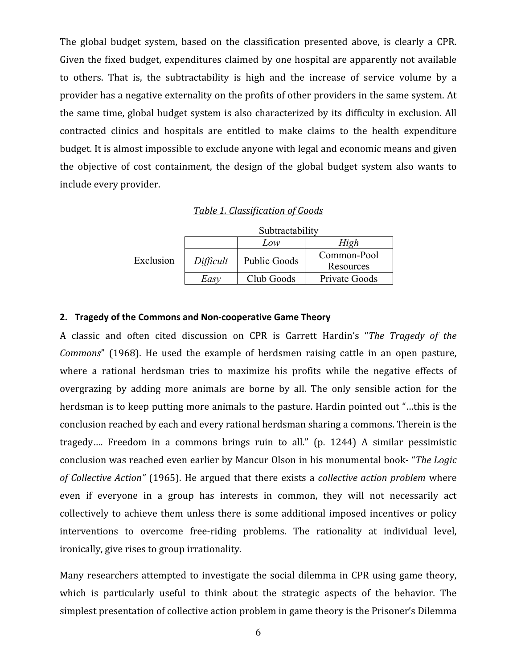The global budget system, based on the classification presented above, is clearly a CPR. Given the fixed budget, expenditures claimed by one hospital are apparently not available to others. That is, the subtractability is high and the increase of service volume by a provider has a negative externality on the profits of other providers in the same system. At the
same
time,
global
budget
system
is
also
characterized
by
its
difficulty
in exclusion.
All contracted clinics and hospitals are entitled to make claims to the health expenditure budget. It is almost impossible to exclude anyone with legal and economic means and given the objective of cost containment, the design of the global budget system also wants to include
every
provider.

### *Table
1.
Classification
of
Goods*

|           | Subtractability |              |                          |
|-----------|-----------------|--------------|--------------------------|
|           |                 | Low          | High                     |
| Exclusion | Difficult       | Public Goods | Common-Pool<br>Resources |
|           | Easv            | Club Goods   | Private Goods            |

#### **2. Tragedy
of
the
Commons
and
Non‐cooperative
Game
Theory**

A classic and often cited discussion on CPR is Garrett Hardin's "*The Tragedy of the*  Commons<sup>"</sup> (1968). He used the example of herdsmen raising cattle in an open pasture. where a rational herdsman tries to maximize his profits while the negative effects of overgrazing by adding more animals are borne by all. The only sensible action for the herdsman is to keep putting more animals to the pasture. Hardin pointed out "...this is the conclusion
reached
by
each
and
every
rational
herdsman
sharing
a
commons.
Therein
is
the tragedy.... Freedom in a commons brings ruin to all." (p. 1244) A similar pessimistic conclusion
was
reached
even
earlier
by
Mancur
Olson
in
his
monumental
book‐ "*The
Logic*  of Collective Action" (1965). He argued that there exists a *collective action problem* where even if everyone in a group has interests in common, they will not necessarily act collectively to achieve them unless there is some additional imposed incentives or policy interventions to overcome free-riding problems. The rationality at individual level, ironically, give rises to group irrationality.

Many researchers attempted to investigate the social dilemma in CPR using game theory, which is particularly useful to think about the strategic aspects of the behavior. The simplest presentation of collective action problem in game theory is the Prisoner's Dilemma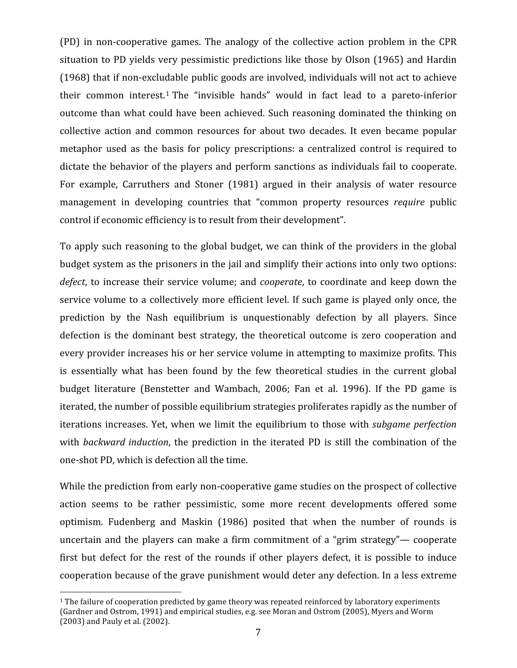(PD) in non‐cooperative games. The analogy of
the collective action problem in
the CPR situation
to
PD
yields
very
pessimistic
predictions
like
those
by
Olson
(1965)
and
Hardin (1968)
that
if
non‐excludable
public
goods
are
involved,
individuals
will
not
act
to
achieve their common interest.<sup>1</sup> The "invisible hands" would in fact lead to a pareto-inferior outcome than what could have been achieved. Such reasoning dominated the thinking on collective action and common resources for about
two decades. It even became popular metaphor used as the basis for policy prescriptions: a centralized control is required to dictate the behavior of the players and perform sanctions as individuals fail to cooperate. For example, Carruthers and Stoner (1981) argued in their analysis of water resource management in developing countries that "common property resources *require* public control if economic efficiency is to result from their development".

To apply such reasoning to the global budget, we can think of the providers in the global budget system as the prisoners in the jail and simplify their actions into only two options: defect, to increase their service volume; and *cooperate*, to coordinate and keep down the service volume to a collectively more efficient level. If such game is played only once, the prediction by the Nash equilibrium is unquestionably defection by all players. Since defection is the dominant best strategy, the theoretical outcome is zero cooperation and every provider increases his or her service volume in attempting to maximize profits. This is essentially what has been found by the few theoretical studies in the current global budget literature (Benstetter and Wambach, 2006; Fan et al. 1996). If the PD game is iterated,
the
number
of
possible
equilibrium
strategies
proliferates
rapidly
as
the
number
of iterations
increases.
Yet,
when
we
limit
the
equilibrium
to
those
with *subgame perfection* with *backward induction*, the prediction in the iterated PD is still the combination of the one‐shot
PD,
which
is
defection
all
the
time.

While the prediction from early non-cooperative game studies on the prospect of collective action seems to be rather pessimistic, some more recent developments offered some optimism. Fudenberg and Maskin (1986) posited that when the number of rounds is uncertain and the players can make a firm commitment of a "grim strategy"— cooperate first but defect for the rest of the rounds if other players defect, it is possible to induce cooperation
because
of
the
grave
punishment
would
deter
any
defection.
In
a
less
extreme

<sup>&</sup>lt;sup>1</sup> The failure of cooperation predicted by game theory was repeated reinforced by laboratory experiments (Gardner and Ostrom, 1991) and empirical studies, e.g. see Moran and Ostrom (2005), Myers and Worm (2003) and Pauly et al. (2002).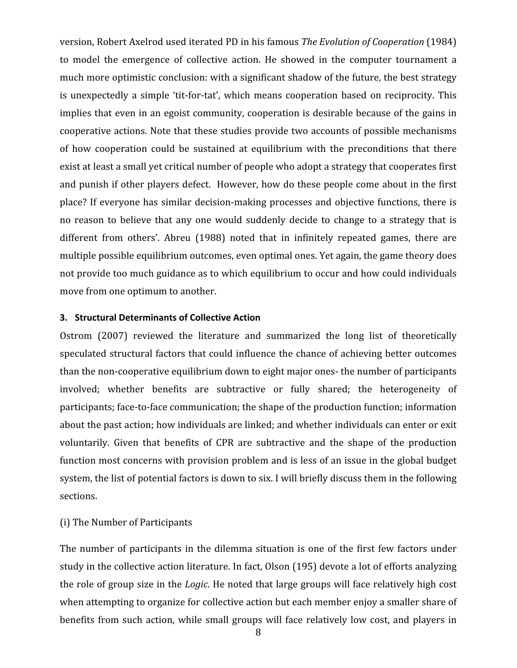version,
Robert
Axelrod
used
iterated
PD
in
his
famous *The
Evolution
of
Cooperation* (1984) to model the emergence of collective action. He showed in the computer tournament a much
more
optimistic
conclusion:
with
a
significant
shadow
of
the
future,
the
best
strategy is unexpectedly a simple 'tit-for-tat', which means cooperation based on reciprocity. This implies that even in an egoist community, cooperation is desirable because of the gains in cooperative
actions.
Note
that
these
studies
provide
two
accounts
of
possible
mechanisms of how cooperation could be sustained at equilibrium with the preconditions that there exist at least a small yet critical number of people who adopt a strategy that cooperates first and punish if other players defect. However, how do these people come about in the first place?
If
everyone
has
similar
decision‐making
processes
and
objective
functions,
there
is no reason to believe that any one would suddenly decide to change to a strategy that is different from others'. Abreu (1988) noted that in infinitely repeated games, there are multiple
possible equilibrium
outcomes,
even
optimal
ones. Yet
again,
the
game
theory
does not provide too much guidance as to which equilibrium to occur and how could individuals move
from
one
optimum
to
another.

#### **3. Structural
Determinants
of
Collective
Action**

Ostrom (2007) reviewed the literature and summarized the long list of theoretically speculated structural factors that could influence the chance of achieving better outcomes than
the
non‐cooperative
equilibrium
down
to
eight
major
ones‐ the
number
of
participants involved; whether benefits are subtractive or fully shared; the heterogeneity of participants;
face‐to‐face
communication;
the
shape
of
the
production
function;
information about the past action; how individuals are linked; and whether individuals can enter or exit voluntarily. Given that benefits of CPR are subtractive and the shape of the production function most concerns with provision problem and is less of an issue in the global budget system, the list of potential factors is down to six. I will briefly discuss them in the following sections.

#### (i)
The
Number
of
Participants

The number of participants in the dilemma situation is one of the first few factors under study in the collective action literature. In fact, Olson (195) devote a lot of efforts analyzing the role of group size in the *Logic*. He noted that large groups will face relatively high cost when attempting to organize for collective action but each member enjoy a smaller share of benefits from such action, while small groups will face relatively low cost, and players in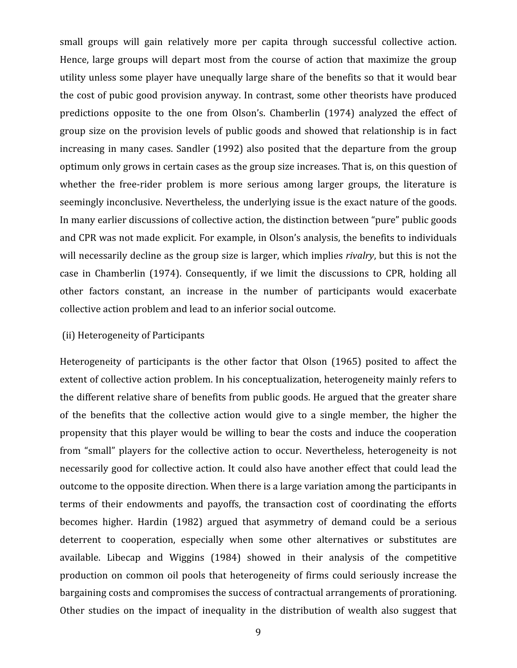small groups will gain relatively more per capita through successful collective action. Hence, large groups will depart most from the course of action that maximize the group utility unless some player have unequally large share of the benefits so that it would bear the
cost
of
pubic
good
provision
anyway. In
contrast,
some
other
theorists
have
produced predictions opposite to the one from Olson's. Chamberlin (1974) analyzed the effect of group size on the provision levels of public goods and showed that relationship is in fact increasing in many cases. Sandler (1992) also posited that the departure from the group optimum only grows in certain cases as the group size increases. That is, on this question of whether the free-rider problem is more serious among larger groups, the literature is seemingly inconclusive. Nevertheless, the underlying issue is the exact nature of the goods. In many earlier discussions of collective action, the distinction between "pure" public goods and
CPR
was
not
made
explicit.
For
example,
in
Olson's
analysis,
the
benefits
to
individuals will necessarily decline as the group size is larger, which implies *rivalry*, but this is not the case in Chamberlin
(1974). Consequently, if we limit the discussions
to CPR, holding all other factors constant, an increase in the number of participants would exacerbate collective
action
problem
and
lead
to
an
inferior
social
outcome.

## (ii)
Heterogeneity
of
Participants

Heterogeneity of participants is the other factor that Olson (1965) posited to affect the extent of collective action problem. In his conceptualization, heterogeneity mainly refers to the different relative share of benefits from public goods. He argued that the greater share of the benefits that the collective action would give to a single member, the higher the propensity
that
this
player
would
be
willing
to
bear
the
costs
and
induce
the
cooperation from "small" players for the collective action to occur. Nevertheless, heterogeneity is not necessarily good for collective action. It could also have another effect that could lead the outcome
to
the
opposite
direction.
When
there
is
a
large
variation
among
the
participants
in terms of their endowments and payoffs, the transaction cost of coordinating the efforts becomes higher. Hardin (1982) argued that asymmetry of demand could be a serious deterrent to cooperation, especially when some other alternatives or substitutes are available. Libecap and Wiggins (1984) showed in their analysis of the competitive production on common oil pools that heterogeneity of firms could seriously increase the bargaining
costs
and
compromises
the
success
of
contractual
arrangements
of
prorationing. Other studies on the impact of inequality in the distribution of wealth also suggest that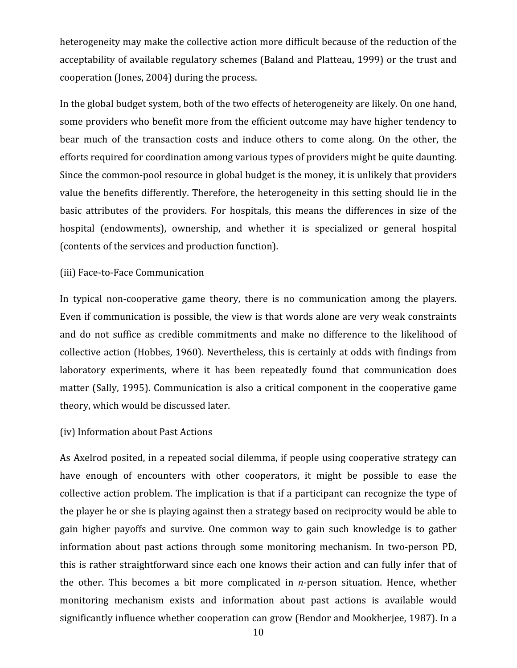heterogeneity may make the collective action more difficult because of the reduction of the acceptability of available regulatory schemes (Baland and Platteau, 1999) or the trust and cooperation
(Jones,
2004)
during
the
process.

In the global budget system, both of the two effects of heterogeneity are likely. On one hand, some
providers
who
benefit
more
from
the
efficient
outcome
may
have
higher
tendency
to bear much of the transaction costs and induce others to come along. On the other, the efforts
required
for
coordination
among
various
types
of
providers
might
be
quite
daunting. Since
the
common‐pool
resource
in
global
budget
is
the
money,
it
is
unlikely
that
providers value the benefits differently. Therefore, the heterogeneity in this setting should lie in the basic attributes of the providers. For hospitals, this means the differences in size of the hospital (endowments), ownership, and whether it is specialized or general hospital (contents
of
the
services
and
production
function).

### (iii)
Face‐to‐Face
Communication

In typical non-cooperative game theory, there is no communication among the players. Even if communication is possible, the view is that words alone are very weak constraints and do not suffice as credible commitments and make no difference to the likelihood of collective
action
(Hobbes,
1960).
Nevertheless,
this
is
certainly
at
odds
with
findings
from laboratory experiments, where it has been repeatedly found that communication does matter
(Sally,
1995).
Communication
is
also
a
critical
component
in
the
cooperative
game theory,
which
would
be
discussed
later.

### (iv)
Information
about
Past
Actions

As Axelrod posited, in a repeated social dilemma, if people using cooperative strategy can have enough of encounters with other cooperators, it might be possible to ease the collective action problem. The implication is that if a participant can recognize the type of the player he or she is playing against then a strategy based on reciprocity would be able to gain higher payoffs and survive. One common way to gain such knowledge is to gather information about past actions through some monitoring mechanism. In two-person PD, this is rather straightforward since each one knows their action and can fully infer that of the other. This becomes a bit more complicated in *n*-person situation. Hence, whether monitoring mechanism exists and information about past actions is available would significantly influence whether cooperation can grow (Bendor and Mookherjee, 1987). In a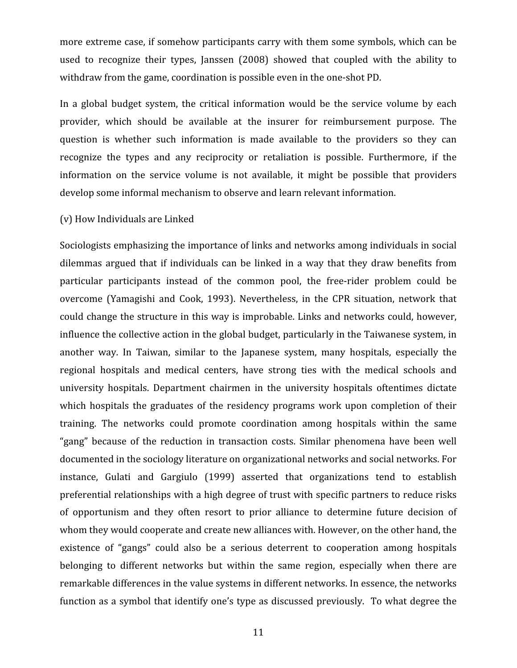more extreme case, if somehow participants carry with them some symbols, which can be used to recognize their types, Janssen (2008) showed that coupled with the ability to withdraw from the game, coordination is possible even in the one-shot PD.

In a global budget system, the critical information would be the service volume by each provider, which should be available at the insurer for reimbursement purpose. The question is whether such information is made available to the providers so they can recognize the types and any reciprocity or retaliation is possible. Furthermore, if the information on the service volume is not available, it might be possible that providers develop some informal mechanism to observe and learn relevant information.

### (v)
How
Individuals
are
Linked

Sociologists emphasizing the importance of links and networks among individuals in social dilemmas argued that if individuals can be linked in a way that they draw benefits from particular participants instead of the common pool, the free-rider problem could be overcome
(Yamagishi and Cook, 1993). Nevertheless, in the CPR situation, network that could
change
the
structure
in
this
way
is
improbable.
Links
and
networks
could,
however, influence the collective action in the global budget, particularly in the Taiwanese system, in another way. In Taiwan, similar to the Japanese system, many hospitals, especially the regional hospitals and medical centers, have strong ties with the medical schools and university hospitals. Department chairmen in the university hospitals oftentimes dictate which hospitals the graduates of the residency programs work upon completion of their training. The networks could promote coordination among hospitals within the same "gang" because of the reduction in transaction costs. Similar phenomena have been well documented in the sociology literature on organizational networks and social networks. For instance, Gulati and Gargiulo (1999) asserted that organizations tend to establish preferential
relationships
with
a
high
degree
of
trust
with
specific
partners
to reduce
risks of opportunism and they often resort to prior alliance to determine future decision of whom they would cooperate and create new alliances with. However, on the other hand, the existence of "gangs" could also be a serious deterrent to cooperation among hospitals belonging to different networks but within the same region, especially when there are remarkable differences in the value systems in different networks. In essence, the networks function as a symbol that identify one's type as discussed previously. To what degree the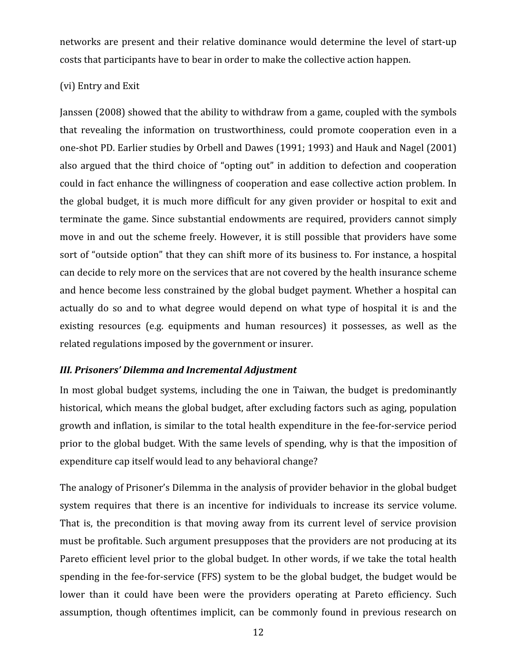networks are present and their relative dominance would determine the level of start-up costs
that
participants
have
to
bear
in
order
to
make
the
collective
action
happen.

# (vi)
Entry
and
Exit

Janssen
(2008)
showed
that
the
ability
to
withdraw
from
a
game,
coupled
with
the
symbols that revealing the information on trustworthiness, could promote cooperation even in a one‐shot
PD.
Earlier
studies
by
Orbell
and
Dawes
(1991;
1993)
and
Hauk
and
Nagel
(2001) also
argued
that
the
third choice
of
"opting
out"
in
addition
to
defection
and cooperation could
in
fact
enhance
the
willingness
of
cooperation
and ease
collective
action
problem.
In the global budget, it is much more difficult for any given provider or hospital to exit and terminate
the
game.
Since
substantial
endowments
are required,
providers
cannot
simply move in and out the scheme freely. However, it is still possible that providers have some sort of "outside option" that they can shift more of its business to. For instance, a hospital can
decide
to
rely
more
on
the
services
that
are
not
covered
by
the
health
insurance
scheme and
hence
become
less
constrained
by
the
global
budget
payment.
Whether
a
hospital
can actually do so and to what degree would depend on what type of hospital it is and the existing resources (e.g. equipments and human resources) it possesses, as well as the related
regulations
imposed
by
the
government
or
insurer.

### *III.
Prisoners'
Dilemma
and
Incremental
Adjustment*

In most global budget systems, including the one in Taiwan, the budget is predominantly historical, which means the global budget, after excluding factors such as aging, population growth
and
inflation,
is
similar
to
the
total
health
expenditure in
the
fee‐for‐service
period prior to the global budget. With the same levels of spending, why is that the imposition of expenditure
cap
itself
would
lead
to
any
behavioral
change?

The analogy of Prisoner's Dilemma in the analysis of provider behavior in the global budget system requires that there is an incentive for individuals to increase its service volume. That is, the precondition is that moving away from its current level of service provision must be profitable. Such argument presupposes that the providers are not producing at its Pareto efficient level prior to the global budget. In other words, if we take the total health spending in the fee-for-service (FFS) system to be the global budget, the budget would be lower than it could have been were the providers operating at Pareto efficiency. Such assumption, though oftentimes implicit, can be commonly found in previous research on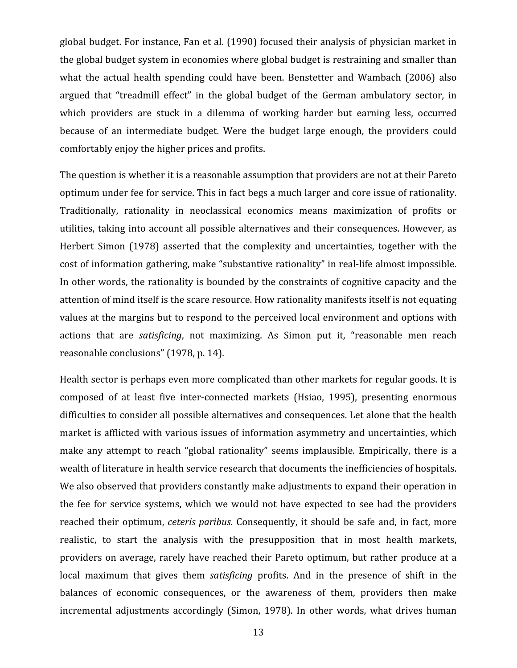global budget. For instance, Fan et al. (1990) focused their analysis of physician market in the
global
budget
system
in
economies
where
global
budget
is
restraining
and
smaller
than what the actual health spending could have been. Benstetter and Wambach (2006) also argued that "treadmill effect" in the global budget of the German ambulatory sector, in which providers are stuck in a dilemma of working harder but earning less, occurred because of an intermediate budget. Were the budget large enough, the providers could comfortably
enjoy
the
higher
prices
and
profits.

The question is whether it is a reasonable assumption that providers are not at their Pareto optimum under
fee
for service.
This
in
fact
begs
a
much
larger
and
core
issue
of
rationality. Traditionally, rationality in neoclassical economics means maximization of profits or utilities, taking into account all possible alternatives and their consequences. However, as Herbert Simon (1978) asserted that the complexity and uncertainties, together with the cost
of
information
gathering,
make
"substantive
rationality"
in
real‐life
almost
impossible. In other words, the rationality is bounded by the constraints of cognitive capacity and the attention of mind itself is the scare resource. How rationality manifests itself is not equating values at the margins but to respond to the perceived local environment and options with actions that are *satisficing*, not maximizing. As Simon put it, "reasonable men reach reasonable
conclusions"
(1978,
p.
14).

Health sector is perhaps even more complicated than other markets for regular goods. It is composed of at least five inter‐connected markets (Hsiao, 1995), presenting enormous difficulties to consider all possible alternatives and consequences. Let alone that the health market
is
afflicted
with
various
issues
of
information
asymmetry
and
uncertainties,
which make any attempt to reach "global rationality" seems implausible. Empirically, there is a wealth of literature in health service research that documents the inefficiencies of hospitals. We also observed that providers constantly make adjustments to expand their operation in the fee for service systems, which we would not have expected to see had the providers reached their optimum, *ceteris paribus.* Consequently, it should be safe and, in fact, more realistic, to start the analysis with the presupposition that in most health markets, providers on average, rarely have reached their Pareto optimum, but rather produce at a local maximum that gives them *satisficing* profits. And in the presence of shift in the balances of economic consequences, or the awareness of them, providers then make incremental adjustments accordingly (Simon, 1978). In other words, what drives human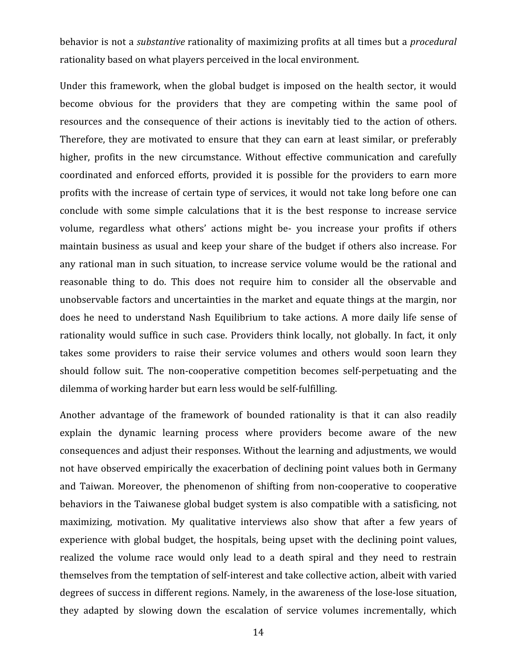behavior is not a *substantive* rationality of maximizing profits at all times but a *procedural* rationality
based
on
what
players
perceived
in
the
local
environment.

Under this framework, when the global budget is imposed on the health sector, it would become obvious for the providers that they are competing within the same pool of resources and the consequence of their actions is inevitably tied to the action of others. Therefore, they are motivated to ensure that they can earn at least similar, or preferably higher, profits in the new circumstance. Without effective communication and carefully coordinated and enforced efforts, provided it is possible for the providers to earn more profits
with
the
increase
of
certain
type
of
services,
it
would
not
take
long
before
one
can conclude with some simple calculations that it is the best response to increase service volume, regardless what others' actions might be- you increase your profits if others maintain
business
as
usual
and
keep
your
share
of
the
budget
if
others
also
increase.
For any rational man in such situation, to increase service volume would be the rational and reasonable thing to do. This does not require him to consider all the observable and unobservable factors and uncertainties in the market and equate things at the margin, nor does he need to understand Nash Equilibrium to take actions. A more daily life sense of rationality would suffice in such case. Providers think locally, not globally. In fact, it only takes some providers to raise their service volumes and others would soon learn they should follow suit. The non-cooperative competition becomes self-perpetuating and the dilemma
of
working
harder
but
earn
less
would
be
self‐fulfilling.

Another advantage of the framework of bounded rationality is that it can also readily explain the dynamic learning process where providers become aware of the new consequences
and
adjust
their
responses.
Without
the
learning
and
adjustments,
we
would not
have
observed
empirically
the
exacerbation
of
declining
point
values
both
in
Germany and Taiwan. Moreover, the phenomenon of shifting from non-cooperative to cooperative behaviors in the Taiwanese global budget system is also compatible with a satisficing, not maximizing, motivation. My qualitative interviews also show that after a few years of experience with global budget, the hospitals, being upset with the declining point values, realized the volume race would only lead to a death spiral and they need to restrain themselves from the temptation of self-interest and take collective action, albeit with varied degrees of success in different regions. Namely, in the awareness of the lose-lose situation, they adapted by slowing down the escalation of service volumes incrementally, which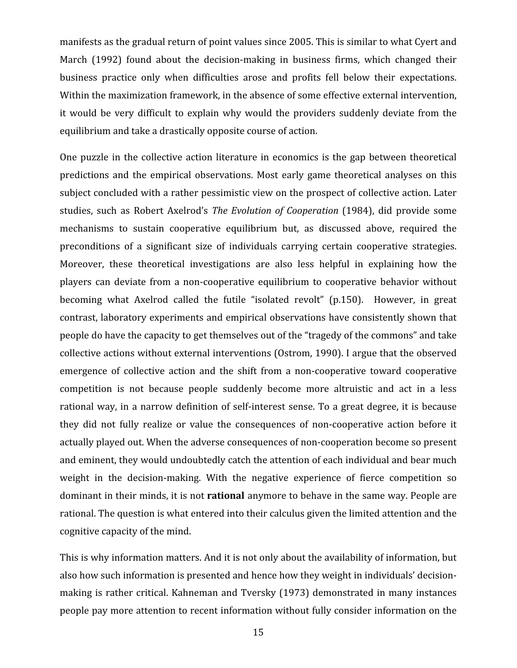manifests as the gradual return of point values since 2005. This is similar to what Cyert and March (1992) found about the decision-making in business firms, which changed their business practice only when difficulties arose and profits fell below their expectations. Within the maximization framework, in the absence of some effective external intervention, it would be very difficult to explain why would the providers suddenly deviate from the equilibrium
and
take
a
drastically
opposite
course
of
action.

One puzzle in the collective action literature in economics is the gap between theoretical predictions and the empirical observations. Most early game theoretical analyses on this subject concluded with a rather pessimistic view on the prospect of collective action. Later studies, such as Robert Axelrod's The Evolution of Cooperation (1984), did provide some mechanisms to sustain cooperative equilibrium but, as discussed above, required the preconditions of a significant size of individuals carrying certain cooperative strategies. Moreover, these theoretical investigations are also less helpful in explaining how the players can deviate
from a non‐cooperative equilibrium
to cooperative behavior
without becoming what Axelrod called the futile "isolated revolt" (p.150). However, in great contrast,
laboratory
experiments
and
empirical
observations
have
consistently
shown
that people
do
have
the
capacity
to
get
themselves
out
of
the
"tragedy
of
the
commons"
and
take collective
actions
without
external
interventions
(Ostrom,
1990).
I
argue
that
the
observed emergence of collective action and the shift from a non-cooperative toward cooperative competition is not because people suddenly become more altruistic and act in a less rational way, in a narrow definition of self-interest sense. To a great degree, it is because they did not fully realize or value the consequences of non-cooperative action before it actually
played
out. When
the
adverse
consequences of
non‐cooperation
become so
present and
eminent,
they
would undoubtedly
catch
the
attention
of
each
individual
and
bear
much weight in the decision-making. With the negative experience of fierce competition so dominant in their minds, it is not **rational** anymore to behave in the same way. People are rational. The question is what entered into their calculus given the limited attention and the cognitive
capacity
of
the
mind.

This is why information matters. And it is not only about the availability of information, but also
how
such
information
is
presented
and
hence how
they
weight
in
individuals'
decision‐ making
is rather
critical.
Kahneman
and
Tversky
(1973)
demonstrated
in
many
instances people pay more attention to recent information without fully consider information on the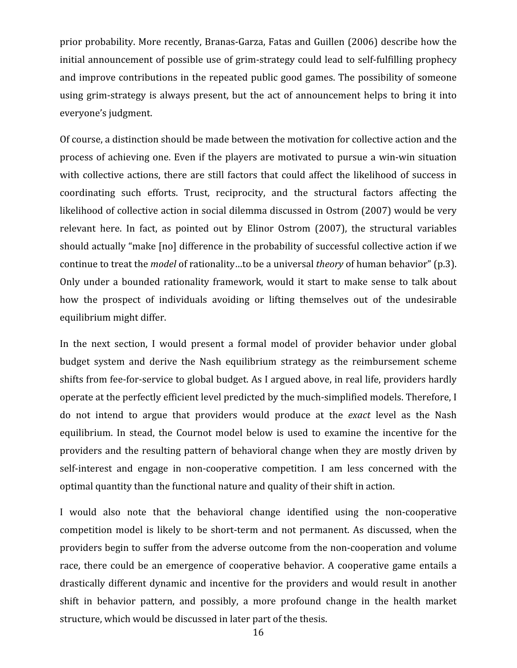prior probability. More recently, Branas-Garza, Fatas and Guillen (2006) describe how the initial announcement of possible use of grim-strategy could lead to self-fulfilling prophecy and
improve
contributions
in
the
repeated
public
good
games.
The
possibility
of
someone using grim-strategy is always present, but the act of announcement helps to bring it into everyone's
judgment.

Of
course,
a
distinction
should
be
made
between
the
motivation
for
collective
action
and
the process
of
achieving
one.
Even
if
the
players
are
motivated
to
pursue
a
win‐win
situation with collective actions, there are still factors that could affect the likelihood of success in coordinating such efforts. Trust, reciprocity, and the structural factors affecting the likelihood of collective action in social dilemma discussed in Ostrom (2007) would be very relevant here. In fact, as pointed out by Elinor Ostrom (2007), the structural variables should actually "make [no] difference in the probability of successful collective action if we continue to treat the *model* of rationality...to be a universal *theory* of human behavior" (p.3). Only under a bounded rationality framework, would it start to make sense to talk about how the prospect of individuals avoiding or lifting themselves out of the undesirable equilibrium
might
differ.

In the next section, I would present a formal model of provider behavior under global budget system and derive the Nash equilibrium strategy as the reimbursement scheme shifts from fee-for-service to global budget. As I argued above, in real life, providers hardly operate at the perfectly efficient level predicted by the much-simplified models. Therefore, I do not intend to argue that providers would produce at the *exact* level as the Nash equilibrium. In stead, the Cournot model below is used to examine the incentive for the providers and the resulting pattern of behavioral change when they are mostly driven by self-interest and engage in non-cooperative competition. I am less concerned with the optimal quantity than the functional nature and quality of their shift in action.

I would also note that the behavioral change identified using the non-cooperative competition model is likely to be short-term and not permanent. As discussed, when the providers
begin
to
suffer
from
the
adverse
outcome
from
the
non‐cooperation and
volume race, there could be an emergence of cooperative behavior. A cooperative game entails a drastically different dynamic and incentive for the providers and would result in another shift in behavior pattern, and possibly, a more profound change in the health market structure,
which
would
be
discussed
in
later
part
of
the
thesis.

16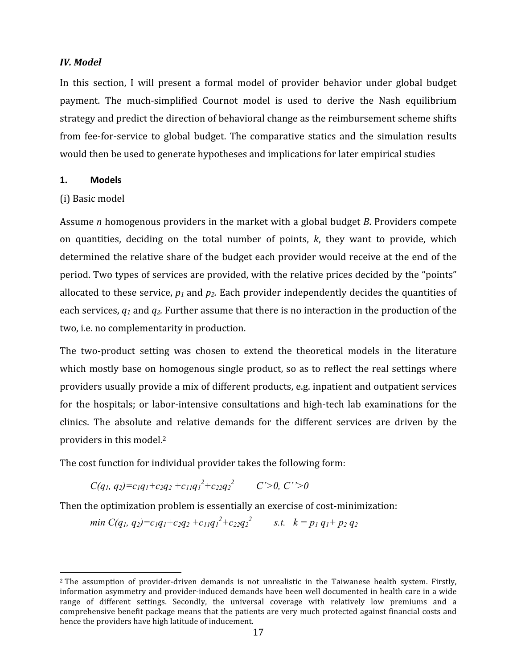# *IV.
Model*

In this section, I will present a formal model of provider behavior under global budget payment. The much‐simplified Cournot model is used to derive the Nash equilibrium strategy
and
predict
the
direction
of
behavioral
change
as
the
reimbursement
scheme
shifts from fee-for-service to global budget. The comparative statics and the simulation results would then be used to generate hypotheses and implications for later empirical studies

### **1. Models**

## (i)
Basic
model

Assume *n* homogenous providers in the market with a global budget *B*. Providers compete on quantities, deciding on the total number of points,  $k$ , they want to provide, which determined the relative share of the budget each provider would receive at the end of the period. Two types of services are provided, with the relative prices decided by the "points" allocated to these service,  $p_1$  and  $p_2$ . Each provider independently decides the quantities of each services,  $q_1$  and  $q_2$ . Further assume that there is no interaction in the production of the two,
i.e.
no
complementarity
in
production.

The two-product setting was chosen to extend the theoretical models in the literature which mostly base on homogenous single product, so as to reflect the real settings where providers
usually
provide
a
mix
of
different
products,
e.g.
inpatient
and
outpatient
services for the hospitals; or labor-intensive consultations and high-tech lab examinations for the clinics. The absolute and relative demands for the different services are driven by the providers in this model.<sup>2</sup>

The
cost
function
for
individual
provider
takes
the
following
form:

 $C(q_1, q_2) = c_1 q_1 + c_2 q_2 + c_{11} q_1^2 + c_{22} q_2^2$  *C'*>0, *C'*'>0

Then
the
optimization
problem
is
essentially
an
exercise
of
cost‐minimization:

*min*  $C(q_1, q_2) = c_1 q_1 + c_2 q_2 + c_{11} q_1^2 + c_{22} q_2^2$  *s.t.*  $k = p_1 q_1 + p_2 q_2$ 

<sup>2</sup> The assumption of provider‐driven demands is not unrealistic in the Taiwanese health system. Firstly, information asymmetry and provider-induced demands have been well documented in health care in a wide range of different settings. Secondly, the universal coverage with relatively low premiums and a comprehensive benefit package means that the patients are very much protected against financial costs and hence the providers have high latitude of inducement.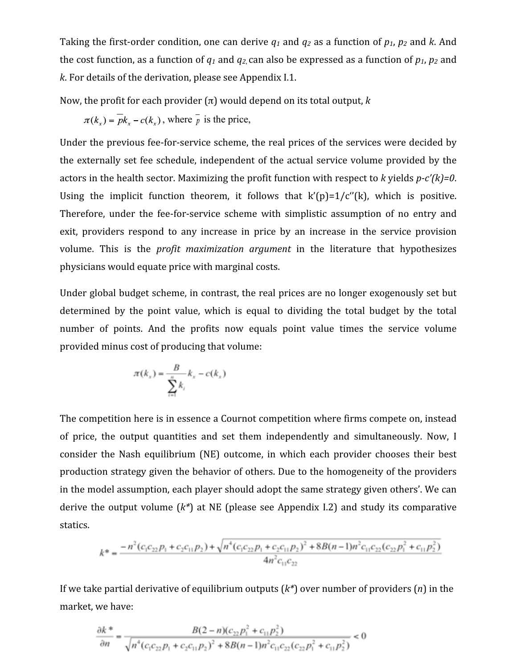Taking the first-order condition, one can derive  $q_1$  and  $q_2$  as a function of  $p_1$ ,  $p_2$  and k. And the cost function, as a function of  $q_1$  and  $q_2$  can also be expressed as a function of  $p_1$ ,  $p_2$  and k. For details of the derivation, please see Appendix I.1.

Now, the profit for each provider  $(π)$  would depend on its total output,  $k$ 

$$
\pi(k_x) = \overline{pk_x} - c(k_x)
$$
, where  $\overline{p}$  is the price,

Under the previous fee-for-service scheme, the real prices of the services were decided by the
externally set
fee
schedule,
independent
of
the
actual service
volume
provided
by
the actors in the health sector. Maximizing the profit function with respect to k yields p-c'(k)=0. Using the implicit function theorem, it follows that  $k'(p)=1/c''(k)$ , which is positive. Therefore, under the fee-for-service scheme with simplistic assumption of no entry and exit, providers respond to any increase in price by an increase in the service provision volume. This is the *profit maximization argument* in the literature that hypothesizes physicians
would
equate
price
with
marginal
costs.

Under global budget scheme, in contrast, the real prices are no longer exogenously set but determined by the point value, which is equal to dividing the total budget by the total number of points. And the profits now equals point value times the service volume provided
minus
cost
of
producing
that
volume:

$$
\pi(k_x) = \frac{B}{\sum_{i=1}^n k_i} - c(k_x)
$$

The competition here is in essence a Cournot competition where firms compete on, instead of price, the output quantities and set them independently and simultaneously. Now, I consider the Nash equilibrium (NE) outcome, in which each provider chooses their best production strategy given the behavior of others. Due to the homogeneity of the providers in the model assumption, each player should adopt the same strategy given others'. We can derive the output volume  $(k^*)$  at NE (please see Appendix I.2) and study its comparative statics.

$$
k^* = \frac{-n^2(c_1c_{22}p_1 + c_2c_{11}p_2) + \sqrt{n^4(c_1c_{22}p_1 + c_2c_{11}p_2)^2 + 8B(n-1)n^2c_{11}c_{22}(c_{22}p_1^2 + c_{11}p_2^2)}{4n^2c_{11}c_{22}}
$$

If we take partial derivative of equilibrium outputs  $(k^*)$  over number of providers  $(n)$  in the market,
we
have:

$$
\frac{\partial k}{\partial n}^* = \frac{B(2-n)(c_{22}p_1^2 + c_{11}p_2^2)}{\sqrt{n^4(c_1c_{22}p_1 + c_2c_{11}p_2)^2 + 8B(n-1)n^2c_{11}c_{22}(c_{22}p_1^2 + c_{11}p_2^2)}} < 0
$$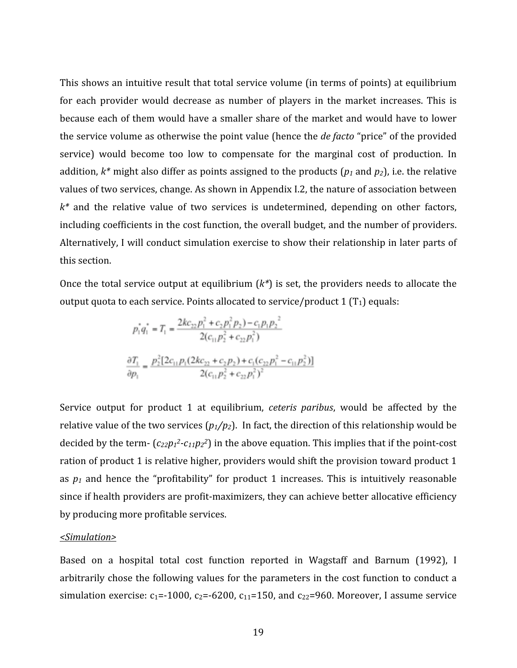This shows an intuitive result that total service volume (in terms of points) at equilibrium for each provider would decrease as number of players in the market increases. This is because each of them would have a smaller share of the market and would have to lower the service volume as otherwise the point value (hence the *de facto* "price" of the provided service) would become too low to compensate for the marginal cost of production. In addition,  $k^*$  might also differ as points assigned to the products ( $p_1$  and  $p_2$ ), i.e. the relative values of two services, change. As shown in Appendix I.2, the nature of association between  $k^*$  and the relative value of two services is undetermined, depending on other factors, including coefficients in the cost function, the overall budget, and the number of providers. Alternatively, I will conduct simulation exercise to show their relationship in later parts of this
section.

Once the total service output at equilibrium  $(k^*)$  is set, the providers needs to allocate the output quota to each service. Points allocated to service/product 1  $(T_1)$  equals:

$$
p_1^* q_1^* = T_1 = \frac{2k c_{22} p_1^2 + c_2 p_1^2 p_2 - c_1 p_1 p_2^2}{2(c_{11} p_2^2 + c_{22} p_1^2)}
$$

$$
\frac{\partial T_1}{\partial p_1} = \frac{p_2^2 [2c_{11} p_1 (2k c_{22} + c_2 p_2) + c_1 (c_{22} p_1^2 - c_{11} p_2^2)]}{2(c_{11} p_2^2 + c_{22} p_1^2)^2}
$$

Service output for product 1 at equilibrium, *ceteris paribus*, would be affected by the relative value of the two services  $(p_1/p_2)$ . In fact, the direction of this relationship would be decided by the term-  $(c_{22}p_1^2-c_{11}p_2^2)$  in the above equation. This implies that if the point-cost ration of product 1 is relative higher, providers would shift the provision toward product 1 as  $p_1$  and hence the "profitability" for product 1 increases. This is intuitively reasonable since if health providers are profit-maximizers, they can achieve better allocative efficiency by
producing
more
profitable
services.

#### *<Simulation>*

Based on a hospital total cost function reported in Wagstaff and Barnum (1992), I arbitrarily chose the following values for the parameters in the cost function to conduct a simulation exercise:  $c_1 = -1000$ ,  $c_2 = -6200$ ,  $c_{11} = 150$ , and  $c_{22} = 960$ . Moreover, I assume service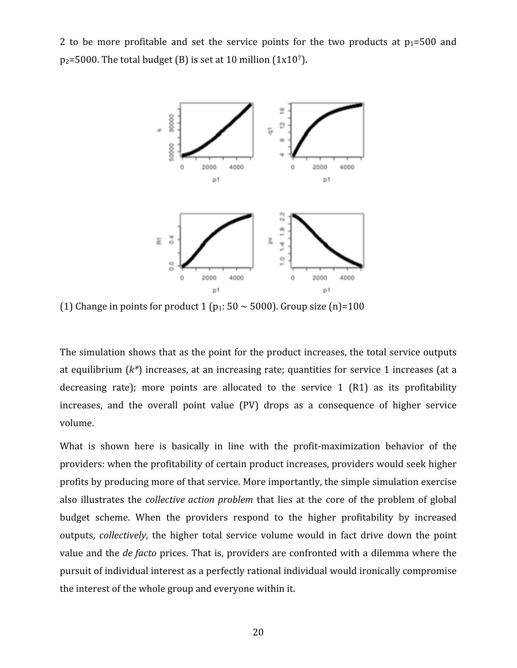2 to be more profitable and set the service points for the two products at  $p_1 = 500$  and  $p_2$ =5000. The total budget (B) is set at 10 million (1x10<sup>7</sup>).



(1) Change in points for product 1 ( $p_1$ : 50  $\sim$  5000). Group size (n)=100

The simulation shows that as the point for the product increases, the total service outputs at equilibrium  $(k^*)$  increases, at an increasing rate; quantities for service 1 increases (at a decreasing rate); more points are allocated to the service 1 (R1) as its profitability increases, and the overall point value (PV) drops as a consequence of higher service volume.

What is shown here is basically in line with the profit-maximization behavior of the providers: when the profitability of certain product increases, providers would seek higher profits
by
producing
more
of
that
service.
More
importantly,
the
simple
simulation
exercise also illustrates the *collective action problem* that lies at the core of the problem of global budget scheme. When the providers respond to the higher profitability by increased outputs, *collectively*, the higher total service volume would in fact drive down the point value and the *de facto* prices. That is, providers are confronted with a dilemma where the pursuit
of
individual
interest
as
a
perfectly
rational
individual
would
ironically
compromise the
interest
of
the
whole
group
and
everyone
within
it.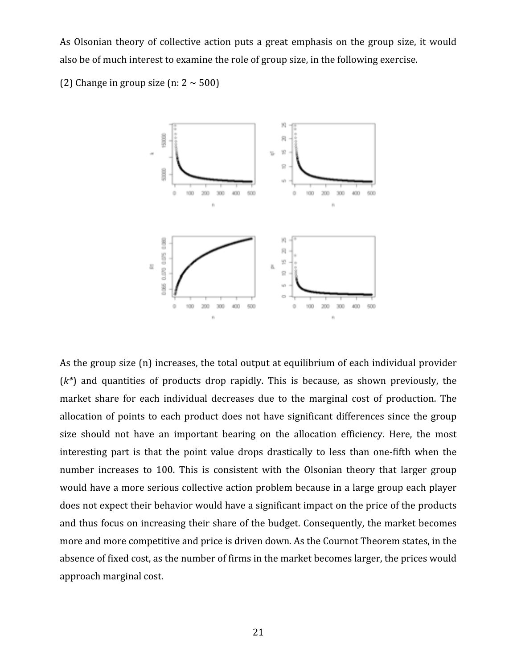As Olsonian theory of collective action puts a great emphasis on the group size, it would also
be
of
much
interest
to
examine
the
role
of
group
size,
in
the
following
exercise.

(2) Change in group size  $(n: 2 \sim 500)$ 



As the group size (n) increases, the total output at equilibrium of each individual provider  $(k^*)$  and quantities of products drop rapidly. This is because, as shown previously, the market share for each individual decreases due to the marginal cost of production. The allocation of points to each product does not have significant differences since the group size should not have an important bearing on the allocation efficiency. Here, the most interesting part is that the point value drops drastically to less than one-fifth when the number increases to 100. This is consistent with the Olsonian theory that larger group would have a more serious collective action problem because in a large group each player does not expect their behavior would have a significant impact on the price of the products and
thus
focus
on
increasing
their
share
of
the
budget.
Consequently,
the
market
becomes more and more competitive and price is driven down. As the Cournot Theorem states, in the absence
of
fixed
cost,
as
the
number
of
firms
in
the
market
becomes
larger,
the
prices
would approach
marginal
cost.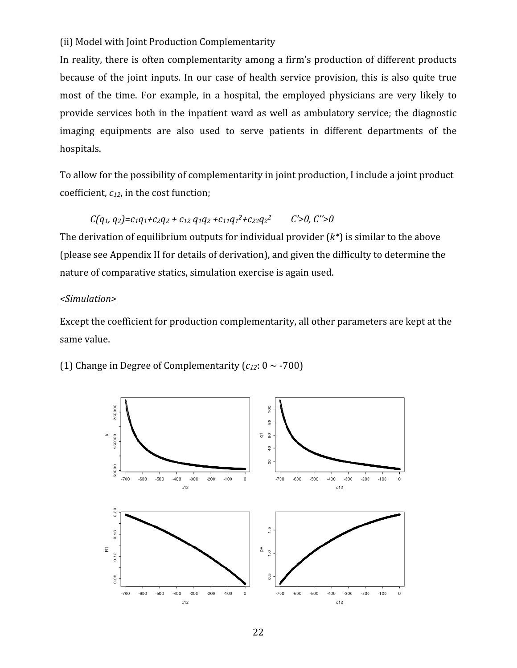# (ii)
Model
with
Joint
Production
Complementarity

In reality, there is often complementarity among a firm's production of different products because of the joint inputs. In our case of health service provision, this is also quite true most of the time. For example, in a hospital, the employed physicians are very likely to provide services
both
in
the
inpatient
ward
as
well
as
ambulatory service;
the
diagnostic imaging equipments are also used to serve patients in different departments of the hospitals.

To allow for the possibility of complementarity in joint production, I include a joint product coefficient,  $c_{12}$ , in the cost function;

 $C(q_1, q_2) = c_1q_1 + c_2q_2 + c_{12}q_1q_2 + c_{11}q_1^2 + c_{22}q_2^2$  *C'*>0, *C''*>0 The derivation of equilibrium outputs for individual provider  $(k^*)$  is similar to the above (please
see
Appendix
II
for
details
of
derivation),
and
given
the
difficulty
to
determine
the nature
of
comparative
statics,
simulation
exercise
is
again
used.

## *<Simulation>*

Except the coefficient for production complementarity, all other parameters are kept at the same
value.

(1) Change in Degree of Complementarity  $(c_{12}: 0 \sim -700)$ 

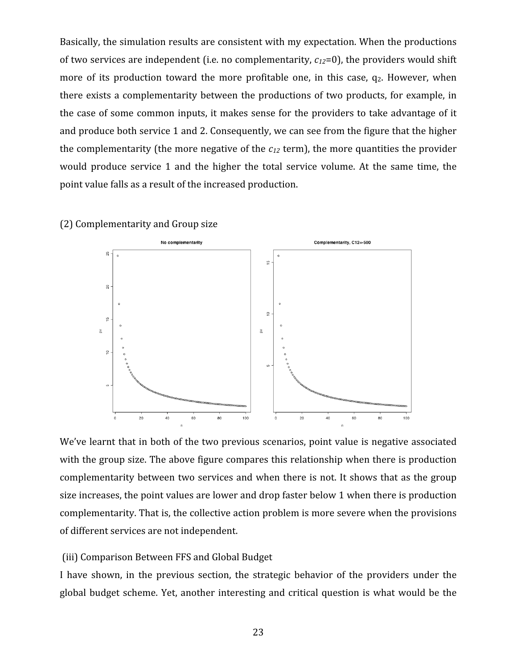Basically, the simulation results are consistent with my expectation. When the productions of two services are independent (i.e. no complementarity,  $c_{12}=0$ ), the providers would shift more of its production toward the more profitable one, in this case,  $q_2$ . However, when there exists a complementarity between the productions of two products, for example, in the case of some common inputs, it makes sense for the providers to take advantage of it and
produce
both
service
1
and
2.
Consequently,
we
can
see
from
the
figure that
the
higher the complementarity (the more negative of the  $c_{12}$  term), the more quantities the provider would produce service 1 and the higher the total service volume. At the same time, the point
value
falls
as
a
result
of
the
increased
production.

# (2)
Complementarity
and
Group
size



We've learnt that in both of the two previous scenarios, point value is negative associated with the group size. The above figure compares this relationship when there is production complementarity between two services and when there is not. It shows that as the group size increases, the point values are lower and drop faster below 1 when there is production complementarity. That is, the collective action problem is more severe when the provisions of
different
services
are
not
independent.

## (iii)
Comparison
Between
FFS
and
Global
Budget

I have shown, in the previous section, the strategic behavior of the providers under the global
budget scheme.
Yet,
another
interesting
and critical
question
is
what
would
be
the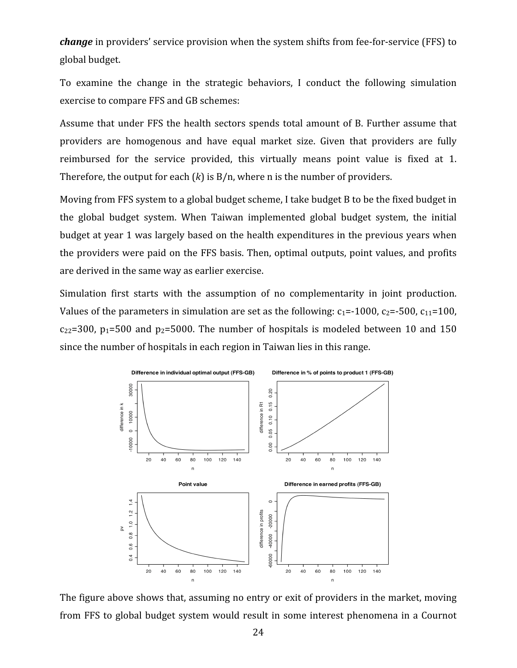change in providers' service provision when the system shifts from fee-for-service (FFS) to global
budget.

To examine the change in the strategic behaviors, I conduct the following simulation exercise
to
compare
FFS
and
GB
schemes:

Assume that under FFS the health sectors spends total amount of B. Further assume that providers are homogenous and have equal market size. Given that providers are fully reimbursed for the service provided, this virtually means point value is fixed at 1. Therefore, the output for each  $(k)$  is  $B/n$ , where n is the number of providers.

Moving from FFS system to a global budget scheme, I take budget B to be the fixed budget in the global budget system. When Taiwan implemented global budget system, the initial budget at year 1 was largely based on the health expenditures in the previous years when the providers were paid on the FFS basis. Then, optimal outputs, point values, and profits are
derived
in
the
same
way
as
earlier
exercise.

Simulation first starts with the assumption of no complementarity in joint production. Values of the parameters in simulation are set as the following:  $c_1 = -1000$ ,  $c_2 = -500$ ,  $c_{11} = 100$ ,  $c_{22}=300$ ,  $p_1=500$  and  $p_2=5000$ . The number of hospitals is modeled between 10 and 150 since
the
number
of
hospitals
in
each
region
in
Taiwan
lies
in
this
range.



The figure above shows that, assuming no entry or exit of providers in the market, moving from
FFS
to
global
budget system
would result
in
some
interest
phenomena
in
a
Cournot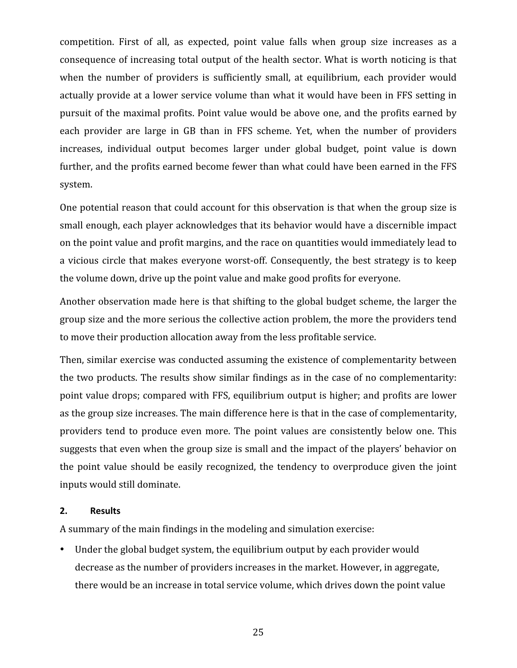competition. First of all, as expected, point value falls when group size increases as a consequence
of
increasing
total
output
of
the
health
sector.
What
is
worth
noticing
is
that when the number of providers is sufficiently small, at equilibrium, each provider would actually provide at a lower service volume than what it would have been in FFS setting in pursuit of the maximal profits. Point value would be above one, and the profits earned by each provider are large in GB than in FFS scheme. Yet, when the number of providers increases, individual output becomes larger under global budget, point value is down further, and the profits earned become fewer than what could have been earned in the FFS system.

One potential reason that could account for this observation is that when the group size is small enough, each player acknowledges that its behavior would have a discernible impact on
the
point
value
and
profit
margins,
and
the
race
on
quantities
would
immediately
lead
to a vicious circle that makes everyone worst-off. Consequently, the best strategy is to keep the
volume
down,
drive
up
the
point
value
and
make
good
profits
for
everyone.

Another observation made here is that shifting to the global budget scheme, the larger the group size and the more serious the collective action problem, the more the providers tend to
move
their
production
allocation
away
from
the
less
profitable
service.

Then,
similar
exercise
was
conducted
assuming
the
existence
of
complementarity
between the
two
products.
The
results
show
similar
findings
as
in
the
case
of
no
complementarity: point
value
drops;
compared
with
FFS,
equilibrium
output
is
higher;
and
profits
are
lower as the group size increases. The main difference here is that in the case of complementarity, providers tend to produce even more. The point values are consistently below one. This suggests that even when the group size is small and the impact of the players' behavior on the point value should be easily recognized, the tendency to overproduce given the joint inputs
would
still
dominate.

### **2. Results**

A
summary
of
the
main
findings
in
the
modeling
and
simulation
exercise:

• Under the global budget system, the equilibrium output by each provider would decrease
as
the
number
of
providers
increases
in
the
market.
However,
in
aggregate, there
would
be
an
increase
in
total
service
volume,
which
drives
down
the
point
value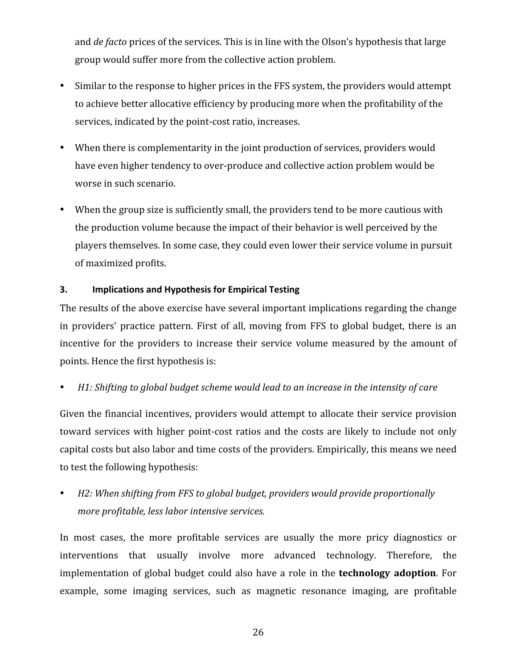and *de facto* prices of the services. This is in line with the Olson's hypothesis that large group
would
suffer
more
from
the
collective
action
problem.

- Similar to the response to higher prices in the FFS system, the providers would attempt to achieve better allocative efficiency by producing more when the profitability of the services, indicated by the point-cost ratio, increases.
- When there is complementarity in the joint production of services, providers would have even higher tendency to over-produce and collective action problem would be worse
in
such
scenario.
- When the group size is sufficiently small, the providers tend to be more cautious with the
production
volume
because
the
impact
of
their
behavior
is
well
perceived
by
the players
themselves.
In
some
case,
they
could
even
lower
their
service
volume
in
pursuit of
maximized
profits.

# **3. Implications
and
Hypothesis
for
Empirical
Testing**

The results of the above exercise have several important implications regarding the change in providers' practice pattern. First of all, moving from FFS to global budget, there is an incentive for the providers to increase their service volume measured by the amount of points.
Hence
the
first
hypothesis
is:

# H1: Shifting to global budget scheme would lead to an increase in the intensity of care

Given the financial incentives, providers would attempt to allocate their service provision toward services with higher point-cost ratios and the costs are likely to include not only capital
costs
but
also
labor
and
time
costs
of
the
providers.
Empirically,
this
means
we
need to
test
the
following
hypothesis:

• H2: When shifting from FFS to global budget, providers would provide proportionally *more
profitable,
less
labor
intensive
services.*

In most cases, the more profitable services are usually the more pricy diagnostics or interventions that usually involve more advanced technology. Therefore, the implementation of global budget could also have a role in the **technology adoption**. For example, some imaging services, such as magnetic resonance imaging, are profitable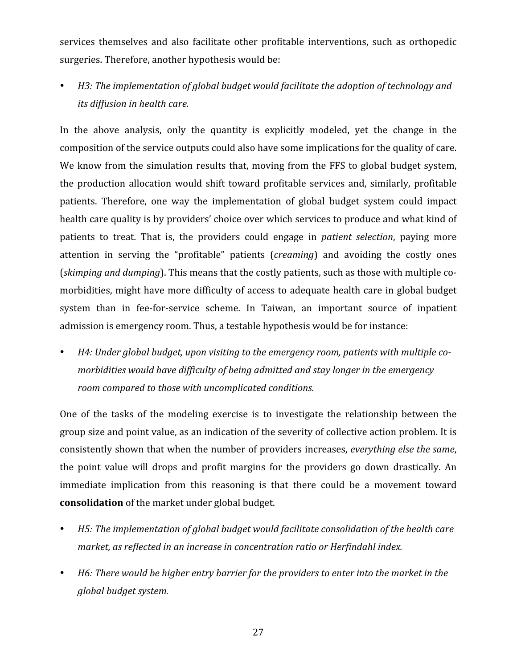services themselves and also facilitate other profitable interventions, such as orthopedic surgeries.
Therefore,
another
hypothesis
would
be:

H<sub>3</sub>: The implementation of global budget would facilitate the adoption of technology and *its
diffusion
in
health
care.*

In the above analysis, only the quantity is explicitly modeled, yet the change in the composition
of
the
service
outputs
could
also
have
some
implications
for
the
quality
of care. We know from the simulation results that, moving from the FFS to global budget system, the
production allocation
would shift
toward
profitable services and, similarly,
profitable patients. Therefore, one way the implementation of global budget system could impact health care quality is by providers' choice over which services to produce and what kind of patients to treat. That is, the providers could engage in *patient selection*, paying more attention in serving the "profitable" patients (*creaming*) and avoiding the costly ones (skimping and dumping). This means that the costly patients, such as those with multiple comorbidities, might have more difficulty of access to adequate health care in global budget system than in fee-for-service scheme. In Taiwan, an important source of inpatient admission
is
emergency
room.
Thus,
a
testable
hypothesis
would
be
for
instance:

H4: Under global budget, upon visiting to the emergency room, patients with multiple co*morbidities
would
have
difficulty
of
being
admitted
and
stay
longer
in
the
emergency room
compared
to
those
with
uncomplicated
conditions.*

One of the tasks of the modeling exercise is to investigate the relationship between the group size and point value, as an indication of the severity of collective action problem. It is consistently
shown
that
when
the
number
of
providers
increases, *everything
else
the
same*, the point value will drops and profit margins for the providers go down drastically. An immediate implication from this reasoning is that there could be a movement toward **consolidation**of
the
market
under
global
budget.

- H<sub>5</sub>: The implementation of global budget would facilitate consolidation of the health care market, as reflected in an increase in concentration ratio or Herfindahl index.
- H6: There would be higher entry barrier for the providers to enter into the market in the *global
budget
system.*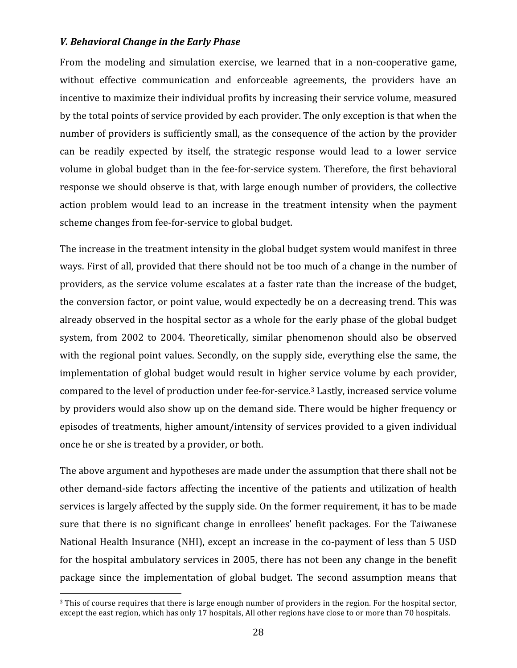## *V.
Behavioral
Change
in
the
Early
Phase*

From the modeling and simulation exercise, we learned that in a non-cooperative game, without effective communication and enforceable agreements, the providers have an incentive to maximize their individual profits by increasing their service volume, measured by
the
total
points
of
service
provided
by
each
provider.
The
only
exception
is
that
when
the number of providers is sufficiently small, as the consequence of the action by the provider can be readily expected by itself, the strategic response would lead to a lower service volume in global budget than in the fee-for-service system. Therefore, the first behavioral response we should observe is that, with large enough number of providers, the collective action problem would lead to an increase in the treatment intensity when the payment scheme
changes
from
fee‐for‐service
to
global
budget.

The increase in the treatment intensity in the global budget system would manifest in three ways. First of all, provided that there should not be too much of a change in the number of providers, as the service volume escalates at a faster rate than the increase of the budget, the
conversion
factor,
or
point
value,
would
expectedly
be
on
a
decreasing
trend.
This
was already observed in the hospital sector as a whole for the early phase of the global budget system, from 2002 to 2004. Theoretically, similar phenomenon should also be observed with the regional point values. Secondly, on the supply side, everything else the same, the implementation of global budget would result in higher service volume by each provider, compared to the level of production under fee-for-service.<sup>3</sup> Lastly, increased service volume by
providers
would
also
show
up
on
the
demand
side.
There
would
be
higher
frequency
or episodes of treatments, higher amount/intensity of services provided to a given individual once
he
or
she
is
treated
by
a
provider,
or
both.

The
above
argument
and
hypotheses
are
made
under
the
assumption
that
there
shall
not
be other demand-side factors affecting the incentive of the patients and utilization of health services is largely affected by the supply side. On the former requirement, it has to be made sure that there is no significant change in enrollees' benefit packages. For the Taiwanese National Health Insurance (NHI), except an increase in the co-payment of less than 5 USD for
the
hospital
ambulatory
services
in
2005,
there
has
not
been
any
change
in
the
benefit package since the implementation of global budget. The second assumption means that

<sup>&</sup>lt;sup>3</sup> This of course requires that there is large enough number of providers in the region. For the hospital sector, except the east region, which has only 17 hospitals, All other regions have close to or more than 70 hospitals.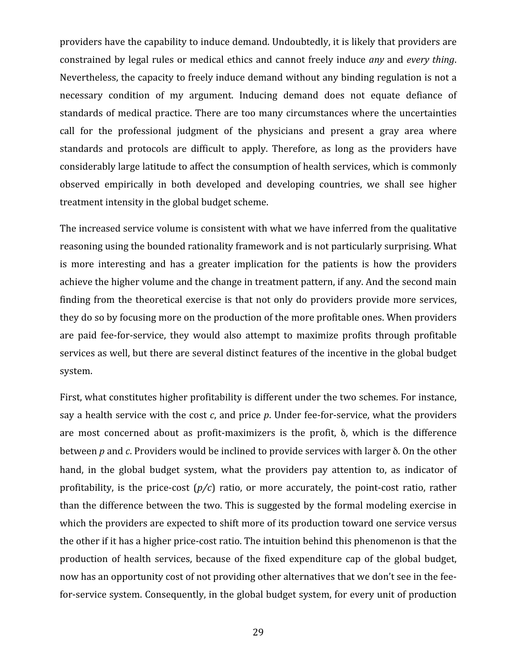providers
have
the
capability
to
induce
demand.
Undoubtedly,
it
is
likely
that
providers
are constrained
by
legal
rules
or
medical
ethics
and cannot
freely
induce *any* and *every thing*. Nevertheless, the capacity to freely induce demand without any binding regulation is not a necessary condition of my argument. Inducing demand does not equate defiance of standards of medical practice. There are too many circumstances where the uncertainties call for the professional judgment of the physicians and present a gray area where standards and protocols are difficult to apply. Therefore, as long as the providers have considerably
large
latitude
to
affect the
consumption
of
health
services,
which
is
commonly observed empirically in both developed and developing countries, we shall see higher treatment
intensity
in
the
global
budget
scheme.

The increased service volume is consistent with what we have inferred from the qualitative reasoning using the bounded rationality framework and is not particularly surprising. What is more interesting and has a greater implication for the patients is how the providers achieve the higher volume and the change in treatment pattern, if any. And the second main finding from the theoretical exercise is that not only do providers provide more services, they do so by focusing more on the production of the more profitable ones. When providers are paid fee-for-service, they would also attempt to maximize profits through profitable services as well, but there are several distinct features of the incentive in the global budget system.

First, what constitutes higher profitability is different under the two schemes. For instance, say a health service with the cost c, and price p. Under fee-for-service, what the providers are most concerned about as profit-maximizers is the profit,  $\delta$ , which is the difference between *p* and *c*. Providers would be inclined to provide services with larger δ. On the other hand, in the global budget system, what the providers pay attention to, as indicator of profitability, is the price-cost  $(p/c)$  ratio, or more accurately, the point-cost ratio, rather than the difference between the two. This is suggested by the formal modeling exercise in which the providers are expected to shift more of its production toward one service versus the other if it has a higher price-cost ratio. The intuition behind this phenomenon is that the production of health services, because of the fixed expenditure cap of the global budget, now has an opportunity cost of not providing other alternatives that we don't see in the feefor-service system. Consequently, in the global budget system, for every unit of production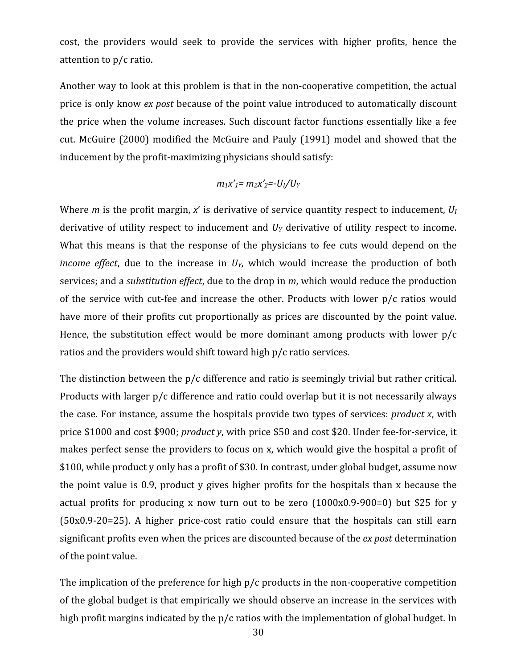cost, the providers would seek to provide the services with higher profits, hence the attention
to
p/c
ratio.

Another way to look at this problem is that in the non-cooperative competition, the actual price is only know *ex post* because of the point value introduced to automatically discount the
price
when
the
volume
increases.
Such
discount
factor
functions
essentially
like
a
fee cut. McGuire (2000) modified the McGuire and Pauly (1991) model and showed that the inducement
by
the
profit‐maximizing
physicians
should
satisfy:

$$
m_1x'_1 = m_2x'_2 = -U_1/U_Y
$$

Where *m* is the profit margin, x' is derivative of service quantity respect to inducement,  $U_I$ derivative of utility respect to inducement and  $U<sub>Y</sub>$  derivative of utility respect to income. What this means is that the response of the physicians to fee cuts would depend on the *income effect*, due to the increase in  $U<sub>Y</sub>$ , which would increase the production of both services; and a *substitution effect*, due to the drop in *m*, which would reduce the production of the service with cut-fee and increase the other. Products with lower p/c ratios would have more of their profits cut proportionally as prices are discounted by the point value. Hence, the substitution effect would be more dominant among products with lower  $p/c$ ratios and the providers would shift toward high p/c ratio services.

The distinction between the p/c difference and ratio is seemingly trivial but rather critical. Products with larger p/c difference and ratio could overlap but it is not necessarily always the
case.
For
instance,
assume
the
hospitals
provide
two
types
of
services: *product
x*,
with price \$1000 and cost \$900; *product y*, with price \$50 and cost \$20. Under fee-for-service, it makes perfect sense the providers to focus on x, which would give the hospital a profit of \$100, while product y only has a profit of \$30. In contrast, under global budget, assume now the point value is 0.9, product y gives higher profits for the hospitals than x because the actual profits for producing x now turn out to be zero  $(1000x0.9-900=0)$  but \$25 for y (50x0.9‐20=25). A higher price‐cost ratio could ensure that the hospitals can still earn significant
profits even
when
the
prices are
discounted because
of the *ex
post* determination of
the
point
value.

The implication of the preference for high p/c products in the non-cooperative competition of
the
global
budget
is
that
empirically
we
should
observe
an
increase
in
the
services
with high profit margins indicated by the p/c ratios with the implementation of global budget. In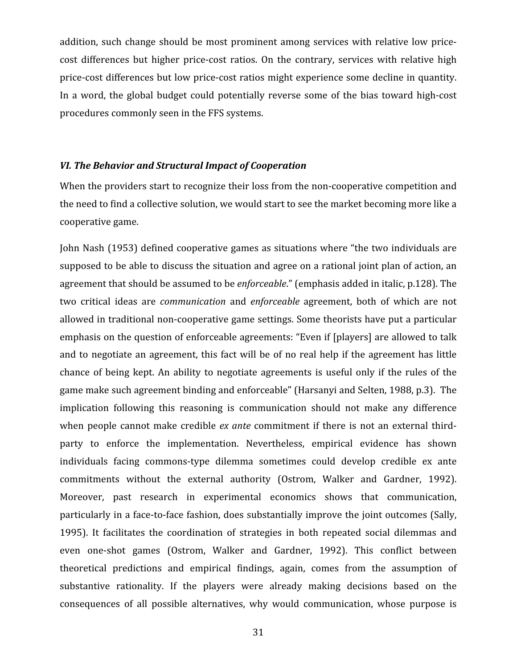addition, such change should be most prominent among services with relative low pricecost differences but higher price-cost ratios. On the contrary, services with relative high price‐cost
differences
but
low
price‐cost
ratios
might
experience
some
decline
in
quantity. In a
word,
the global
budget could
potentially reverse some
of
the
bias
toward
high‐cost procedures
commonly
seen
in
the
FFS
systems.

#### *VI.
The
Behavior
and
Structural
Impact
of
Cooperation*

When the providers start to recognize their loss from the non-cooperative competition and the need to find a collective solution, we would start to see the market becoming more like a cooperative
game.

John
Nash
(1953)
defined
cooperative
games
as
situations
where
"the
two
individuals
are supposed to be able to discuss the situation and agree on a rational joint plan of action, an agreement that should be assumed to be *enforceable*." (emphasis added in italic, p.128). The two critical ideas are *communication* and *enforceable* agreement, both of which are not allowed in traditional non-cooperative game settings. Some theorists have put a particular emphasis on the question of enforceable agreements: "Even if [players] are allowed to talk and to negotiate an agreement, this fact will be of no real help if the agreement has little chance of being kept. An ability to negotiate agreements is useful only if the rules of the game make such agreement binding and enforceable" (Harsanyi and Selten, 1988, p.3). The implication following this reasoning is communication should not make any difference when people cannot make credible ex ante commitment if there is not an external thirdparty to enforce the implementation. Nevertheless, empirical evidence has shown individuals facing commons-type dilemma sometimes could develop credible ex ante commitments without the external authority (Ostrom, Walker and Gardner, 1992). Moreover, past research in experimental economics shows that communication, particularly in a face-to-face fashion, does substantially improve the joint outcomes (Sally, 1995). It facilitates the coordination of strategies in both repeated social dilemmas and even one-shot games (Ostrom, Walker and Gardner, 1992). This conflict between theoretical predictions and empirical findings, again, comes from the assumption of substantive rationality. If the players were already making decisions based on the consequences of all possible alternatives, why would communication, whose purpose is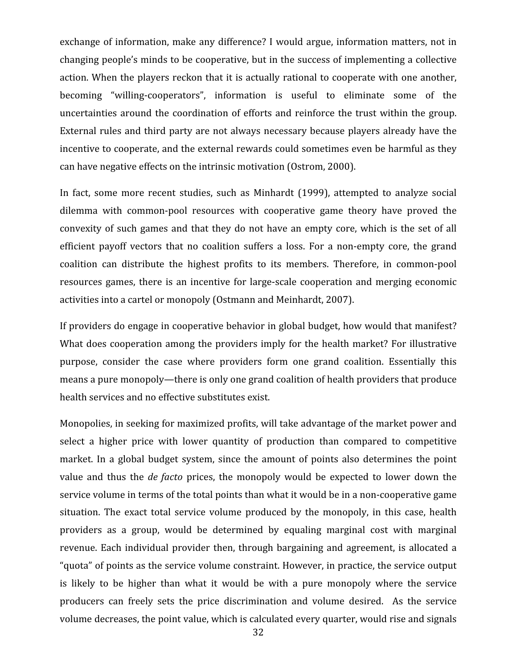exchange of information, make any difference? I would argue, information matters, not in changing
people's
minds
to
be
cooperative,
but
in
the
success
of
implementing
a
collective action. When the players reckon that it is actually rational to cooperate with one another, becoming "willing-cooperators", information is useful to eliminate some of the uncertainties around the coordination of efforts and reinforce the trust within the group. External rules and third party are not always necessary because players already have the incentive to cooperate, and the external rewards could sometimes even be harmful as they can
have
negative
effects
on
the
intrinsic
motivation
(Ostrom,
2000).

In fact, some more recent studies, such as Minhardt (1999), attempted to analyze social dilemma with common-pool resources with cooperative game theory have proved the convexity of such games and that they do not have an empty core, which is the set of all efficient payoff vectors that no coalition suffers a loss. For a non-empty core, the grand coalition can distribute the highest profits to its members. Therefore, in common‐pool resources games, there is an incentive for large-scale cooperation and merging economic activities into a cartel or monopoly (Ostmann and Meinhardt, 2007).

If providers do engage in cooperative behavior in global budget, how would that manifest? What does cooperation among the providers imply for the health market? For illustrative purpose, consider the case where providers form one grand coalition. Essentially this means a pure monopoly—there is only one grand coalition of health providers that produce health
services
and
no
effective
substitutes
exist.

Monopolies, in seeking for maximized profits, will take advantage of the market power and select a higher price with lower quantity of production than compared to competitive market. In a global budget system, since the amount of points also determines the point value and thus the *de facto* prices, the monopoly would be expected to lower down the service volume in terms of the total points than what it would be in a non-cooperative game situation. The exact total service volume produced by the monopoly, in this case, health providers as a group, would be determined by equaling marginal cost with marginal revenue. Each individual provider then, through bargaining and agreement, is allocated a " quota" of points as the service volume constraint. However, in practice, the service output is likely to be higher than what it would be with a pure monopoly where the service producers can freely sets the price discrimination and volume desired. As the service volume decreases, the point value, which is calculated every quarter, would rise and signals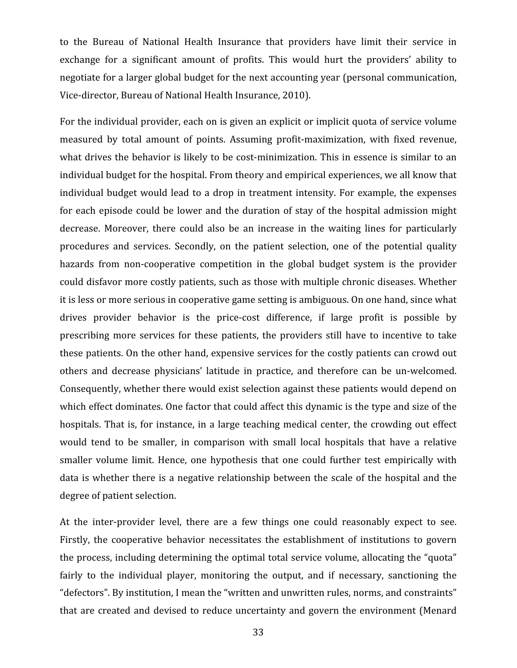to the Bureau of National Health Insurance that providers have limit their service in exchange for a significant amount of profits. This would hurt the providers' ability to negotiate
for
a
larger
global
budget
for
the
next
accounting
year
(personal
communication, Vice-director, Bureau of National Health Insurance, 2010).

For the individual provider, each on is given an explicit or implicit quota of service volume measured by total amount of points. Assuming profit‐maximization, with fixed revenue, what drives the behavior is likely to be cost-minimization. This in essence is similar to an individual budget for the hospital. From theory and empirical experiences, we all know that individual
budget
would
lead
to
a
drop
in
treatment
intensity.
For
example,
the
expenses for each episode could be lower and the duration of stay of the hospital admission might decrease. Moreover, there could also be an increase in the waiting lines for particularly procedures and services. Secondly, on the patient selection, one of the potential quality hazards from non-cooperative competition in the global budget system is the provider could
disfavor
more
costly
patients,
such
as
those
with
multiple
chronic
diseases.
Whether it
is
less
or
more
serious
in
cooperative
game
setting
is
ambiguous.
On
one
hand,
since
what drives provider behavior is the price-cost difference, if large profit is possible by prescribing more services for these patients, the providers still have to incentive to take these patients. On the other hand, expensive services for the costly patients can crowd out others and decrease physicians' latitude in practice, and therefore can be un‐welcomed. Consequently, whether there would exist selection against these patients would depend on which effect dominates. One factor that could affect this dynamic is the type and size of the hospitals. That is, for instance, in a large teaching medical center, the crowding out effect would tend to be smaller, in comparison with small local hospitals that have a relative smaller volume limit. Hence, one hypothesis that one could further test empirically with data is whether there is a negative relationship between the scale of the hospital and the degree
of
patient
selection.

At the inter-provider level, there are a few things one could reasonably expect to see. Firstly, the cooperative behavior necessitates the establishment of institutions to govern the process, including determining the optimal total service volume, allocating the "quota" fairly to the individual player, monitoring the output, and if necessary, sanctioning the "defectors". By institution, I mean the "written and unwritten rules, norms, and constraints" that are created and devised to reduce uncertainty and govern the environment (Menard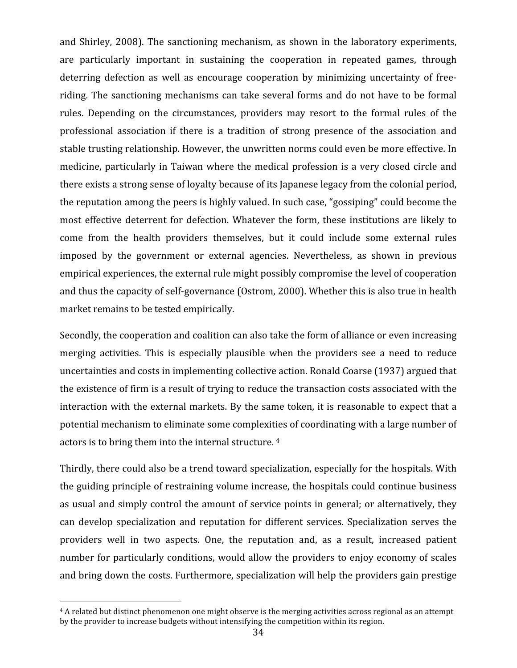and Shirley,
2008).
The sanctioning
mechanism, as shown
in
the
laboratory experiments, are particularly important in sustaining the cooperation in repeated games, through deterring defection as well as encourage cooperation by minimizing uncertainty of freeriding. The sanctioning mechanisms can take several forms and do not have to be formal rules. Depending on the circumstances, providers may resort to the formal rules of the professional association if there is a tradition of strong presence of the association and stable
trusting
relationship.
However,
the
unwritten
norms
could
even
be
more
effective.
In medicine, particularly in Taiwan where the medical profession is a very closed circle and there
exists
a
strong
sense
of
loyalty
because
of
its
Japanese
legacy
from
the
colonial
period, the
reputation
among
the
peers
is
highly
valued.
In
such
case,
"gossiping"
could
become
the most effective
deterrent
for
defection.
Whatever
the
form,
these
institutions are
likely
to come from the health providers themselves, but it could include some external rules imposed by the government or external agencies. Nevertheless, as shown in previous empirical experiences, the external rule might possibly compromise the level of cooperation and thus the capacity of self-governance (Ostrom, 2000). Whether this is also true in health market
remains
to
be
tested
empirically.

Secondly, the cooperation and coalition can also take the form of alliance or even increasing merging activities. This is especially plausible when the providers see a need to reduce uncertainties and costs in implementing collective action. Ronald Coarse (1937) argued that the existence of firm is a result of trying to reduce the transaction costs associated with the interaction with the external markets. By the same token, it is reasonable to expect that a potential
mechanism
to eliminate
some
complexities
of
coordinating
with
a
large
number
of actors
is
to
bring
them
into
the
internal
structure.
4

Thirdly, there could also be a trend toward specialization, especially for the hospitals. With the
guiding
principle
of
restraining
volume
increase,
the
hospitals
could
continue
business as usual and simply control the amount of service points in general; or alternatively, they can develop specialization and reputation for different services. Specialization serves the providers well in two aspects. One, the reputation and, as a result, increased patient number for particularly conditions, would allow the providers to enjoy economy of scales and
bring
down
the
costs.
Furthermore,
specialization
will
help
the
providers
gain
prestige

<sup>4</sup> A related but distinct phenomenon one might observe is the merging activities across regional as an attempt by the provider to increase budgets without intensifying the competition within its region.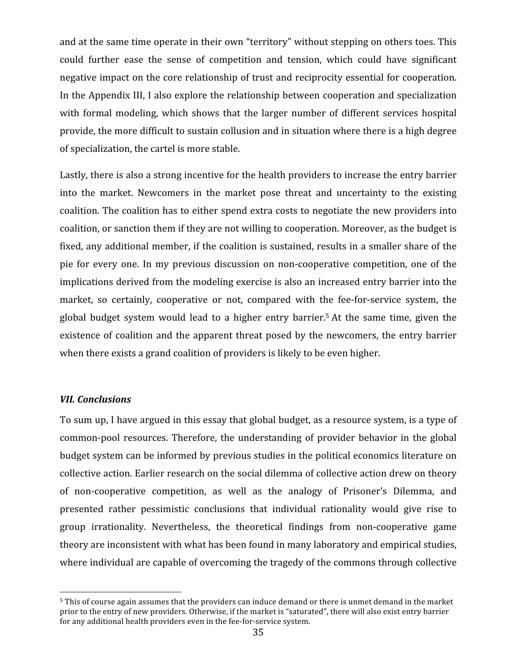and at the same time operate in their own "territory" without stepping on others toes. This could further ease the sense of competition and tension, which could have significant negative impact on the core relationship of trust and reciprocity essential for cooperation. In the Appendix III, I also explore the relationship between cooperation and specialization with formal modeling, which shows that the larger number of different services hospital provide,
the
more
difficult
to
sustain
collusion
and
in
situation
where
there
is
a
high
degree of
specialization,
the
cartel
is
more
stable.

Lastly, there is also a strong incentive for the health providers to increase the entry barrier into the market. Newcomers in the market pose threat and uncertainty to the existing coalition.
The
coalition
has
to
either
spend
extra
costs
to
negotiate
the
new
providers
into coalition, or sanction them if they are not willing to cooperation. Moreover, as the budget is fixed, any additional member, if the coalition is sustained, results in a smaller share of the pie for every one. In my previous discussion on non-cooperative competition, one of the implications derived from the modeling exercise is also an increased entry barrier into the market, so certainly, cooperative or not, compared with the fee-for-service system, the global budget system would lead to a higher entry barrier.<sup>5</sup> At the same time, given the existence of coalition and the apparent threat posed by the newcomers, the entry barrier when there exists a grand coalition of providers is likely to be even higher.

#### *VII.
Conclusions*

To sum up, I have argued in this essay that global budget, as a resource system, is a type of common‐pool resources.
Therefore,
the
understanding of
provider
behavior
in
the global budget
system
can
be
informed
by
previous
studies
in
the
political
economics
literature
on collective
action.
Earlier
research on
the
social
dilemma
of
collective
action
drew
on
theory of non‐cooperative competition, as well as the analogy of Prisoner's Dilemma, and presented rather pessimistic conclusions that individual rationality would give rise to group irrationality. Nevertheless, the theoretical findings from non-cooperative game theory are inconsistent with what has been found in many laboratory and empirical studies, where individual are capable of overcoming the tragedy of the commons through collective

<sup>5</sup> This of course again assumes that the providers can induce demand or there is unmet demand in the market prior to the entry of new providers. Otherwise, if the market is "saturated", there will also exist entry barrier for any additional health providers even in the fee-for-service system.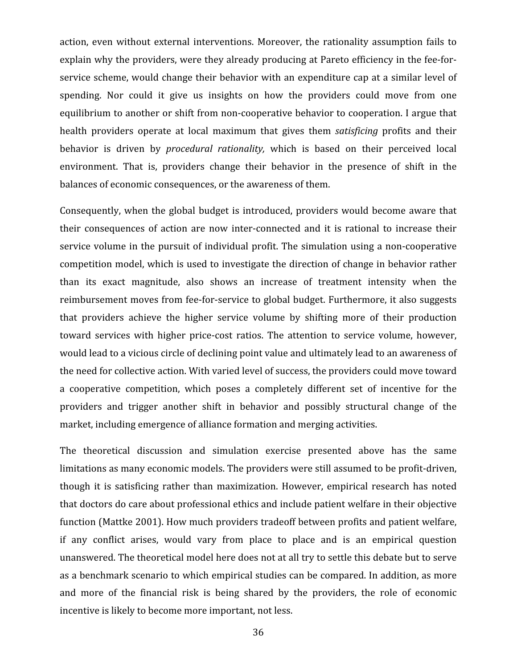action, even without external interventions. Moreover, the rationality assumption fails to explain why the providers, were they already producing at Pareto efficiency in the fee-forservice scheme, would change their behavior with an expenditure cap at a similar level of spending. Nor could it give us insights on how the providers could move from one equilibrium to another or shift from non-cooperative behavior to cooperation. I argue that health providers operate at local maximum that gives them *satisficing* profits and their behavior is driven by *procedural rationality*, which is based on their perceived local environment. That is, providers change their behavior in the presence of shift in the balances
of
economic
consequences,
or
the
awareness
of
them.

Consequently, when the global budget is introduced, providers would become aware that their consequences of action are now inter-connected and it is rational to increase their service volume in the pursuit of individual profit. The simulation using a non-cooperative competition
model,
which
is
used
to
investigate
the
direction
of
change
in
behavior
rather than its exact magnitude, also shows an increase of treatment intensity when the reimbursement moves from fee-for-service to global budget. Furthermore, it also suggests that providers achieve the higher service volume by shifting more of their production toward services with higher price-cost ratios. The attention to service volume, however, would lead to a vicious circle of declining point value and ultimately lead to an awareness of the
need
for
collective
action.
With
varied
level
of
success,
the
providers
could
move
toward a cooperative competition, which poses a completely different set of incentive for the providers and trigger another shift in behavior and possibly structural change of the market,
including
emergence
of
alliance
formation
and
merging
activities.

The theoretical discussion and simulation exercise presented above has the same limitations as many economic models. The providers were still assumed to be profit-driven, though it is satisficing rather
than maximization.
However, empirical research has noted that
doctors
do care
about
professional
ethics
and
include
patient
welfare in
their
objective function (Mattke 2001). How much providers tradeoff between profits and patient welfare, if any conflict arises, would vary from place to place and is an empirical question unanswered. The theoretical model here does not at all try to settle this debate but to serve as
a
benchmark
scenario
to
which
empirical
studies
can
be
compared.
In
addition,
as
more and more of the financial risk is being shared by the providers, the role of economic incentive
is
likely
to
become
more
important,
not
less.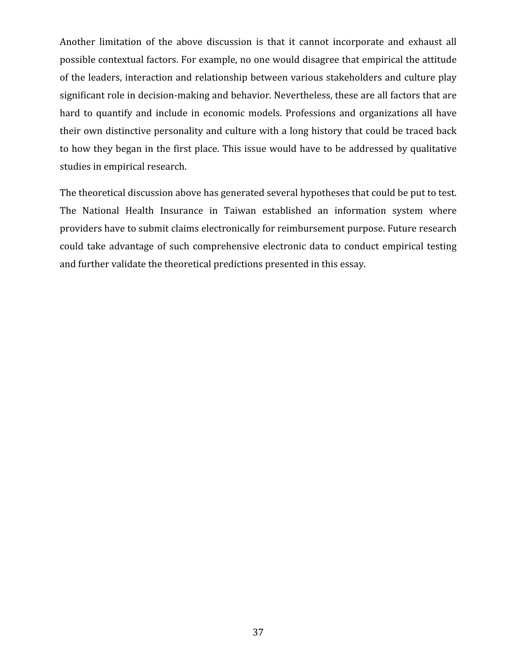Another limitation of the above discussion is that it cannot incorporate and exhaust all possible
contextual
factors.
For
example,
no
one
would
disagree
that
empirical
the
attitude of the leaders, interaction and relationship between various stakeholders and culture play significant role in decision-making and behavior. Nevertheless, these are all factors that are hard to quantify and include in economic models. Professions and organizations all have their own distinctive personality and culture with a long history that could be traced back to how they began in the first place. This issue would have to be addressed by qualitative studies in
empirical
research.

The theoretical discussion above has generated several hypotheses that could be put to test. The National Health Insurance in Taiwan established an information system where providers
have
to
submit
claims
electronically
for
reimbursement
purpose.
Future
research could
take advantage
of such comprehensive electronic
data
to conduct empirical
testing and further validate the theoretical predictions presented in this essay.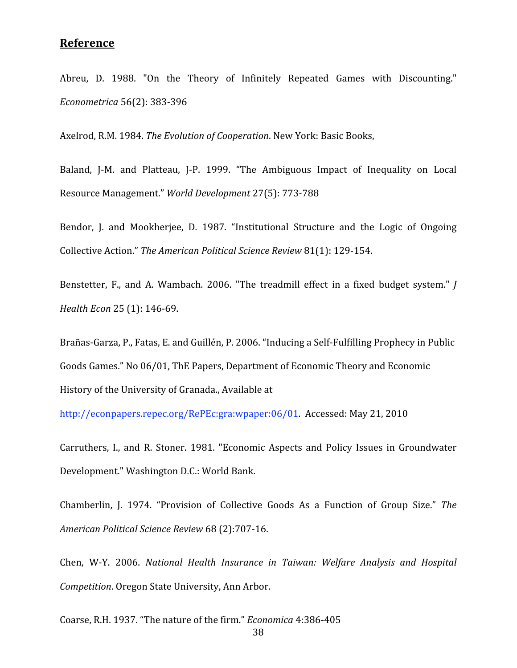# **Reference**

Abreu, D. 1988. "On the Theory of Infinitely Repeated Games with Discounting." *Econometrica*56(2):
383‐396

Axelrod, R.M. 1984. The Evolution of Cooperation. New York: Basic Books,

Baland, J-M. and Platteau, J-P. 1999. "The Ambiguous Impact of Inequality on Local Resource
Management." *World
Development*27(5):
773‐788

Bendor, J. and Mookherjee, D. 1987. "Institutional Structure and the Logic of Ongoing Collective
Action." *The
American
Political
Science
Review* 81(1):
129‐154.

Benstetter, F., and A. Wambach. 2006. "The treadmill effect in a fixed budget system." *J Health
Econ*25
(1):
146‐69.

Brañas-Garza, P., Fatas, E. and Guillén, P. 2006. "Inducing a Self-Fulfilling Prophecy in Public Goods
Games."
No
06/01,
ThE
Papers,
Department
of
Economic
Theory
and
Economic History
of
the
University
of
Granada.,
Available
at

http://econpapers.repec.org/RePEc:gra:wpaper:06/01. Accessed: May 21, 2010

Carruthers, I., and R. Stoner. 1981. "Economic Aspects and Policy Issues in Groundwater Development."
Washington
D.C.:
World
Bank.

Chamberlin, J. 1974. "Provision of Collective Goods As a Function of Group Size." The *American
Political
Science
Review* 68
(2):707‐16.

Chen, W‐Y. 2006. *National Health Insurance in Taiwan: Welfare Analysis and Hospital Competition*.
Oregon
State
University,
Ann
Arbor.

Coarse,
R.H.
1937.
"The
nature
of
the
firm." *Economica*4:386‐405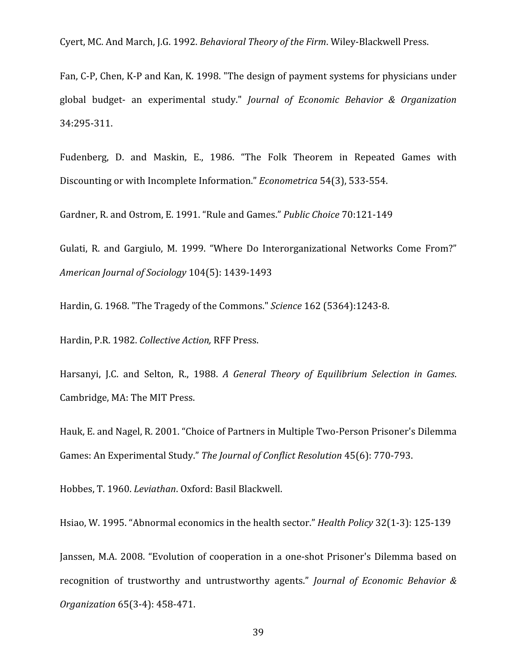Cyert,
MC.
And
March,
J.G.
1992. *Behavioral
Theory
of
the
Firm*.
Wiley‐Blackwell
Press.

Fan, C-P, Chen, K-P and Kan, K. 1998. "The design of payment systems for physicians under global budget‐ an experimental study." *Journal of Economic Behavior & Organization* 34:295‐311.

Fudenberg, D. and Maskin, E., 1986. "The Folk Theorem in Repeated Games with Discounting
or
with
Incomplete
Information." *Econometrica*54(3),
533‐554.

Gardner,
R.
and
Ostrom,
E.
1991.
"Rule
and
Games." *Public
Choice*70:121‐149

Gulati, R. and Gargiulo, M. 1999. "Where Do Interorganizational Networks Come From?" *American
Journal
of
Sociology*104(5):
1439‐1493

Hardin,
G.
1968.
"The
Tragedy
of
the
Commons." *Science*162
(5364):1243‐8.

Hardin,
P.R.
1982. *Collective
Action,*RFF
Press.

Harsanyi, J.C. and Selton, R., 1988. A General Theory of Equilibrium Selection in Games. Cambridge,
MA:
The
MIT
Press.

Hauk, E. and Nagel, R. 2001. "Choice of Partners in Multiple Two-Person Prisoner's Dilemma Games:
An
Experimental
Study." *The
Journal
of
Conflict
Resolution*45(6):
770‐793.

Hobbes,
T.
1960. *Leviathan*.
Oxford:
Basil
Blackwell.

Hsiao,
W.
1995.
"Abnormal
economics
in
the
health
sector." *Health
Policy*32(1‐3):
125‐139

Janssen,
M.A.
2008.
"Evolution
of cooperation
in
a
one‐shot
Prisoner's
Dilemma
based
on recognition of trustworthy and untrustworthy agents." Journal of Economic Behavior & *Organization*65(3‐4):
458‐471.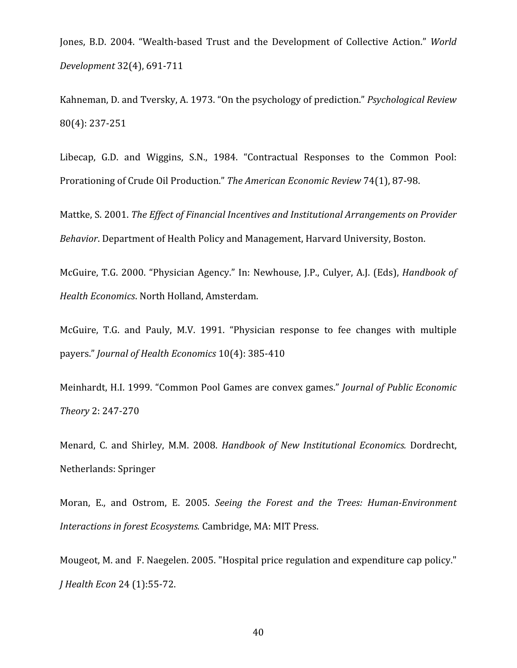Jones, B.D. 2004. "Wealth-based Trust and the Development of Collective Action." World *Development*32(4),
691‐711

Kahneman,
D.
and Tversky,
A.
1973.
"On
the
psychology
of prediction." *Psychological
Review* 80(4):
237‐251

Libecap, G.D. and Wiggins, S.N., 1984. "Contractual Responses to the Common Pool: Prorationing of Crude Oil Production." The American Economic Review 74(1), 87-98.

Mattke, S. 2001. *The
Effect
of
Financial
Incentives
and
Institutional
Arrangements
on
Provider*  Behavior. Department of Health Policy and Management, Harvard University, Boston.

McGuire, T.G. 2000. "Physician Agency." In: Newhouse, J.P., Culyer, A.J. (Eds), *Handbook of Health
Economics*.
North
Holland,
Amsterdam.

McGuire, T.G. and Pauly, M.V. 1991. "Physician response to fee changes with multiple payers." *Journal
of
Health
Economics*10(4):
385‐410

Meinhardt,
H.I.
1999.
"Common
Pool
Games
are
convex
games." *Journal
of
Public
Economic Theory*2:
247‐270

Menard, C. and Shirley, M.M. 2008. *Handbook of
New
Institutional Economics.* Dordrecht, Netherlands:
Springer

Moran, E., and Ostrom, E. 2005. Seeing the Forest and the Trees: Human-Environment *Interactions
in
forest
Ecosystems.* Cambridge,
MA:
MIT
Press.

Mougeot, M. and F. Naegelen. 2005. "Hospital price regulation and expenditure cap policy." *J
Health
Econ*24
(1):55‐72.

40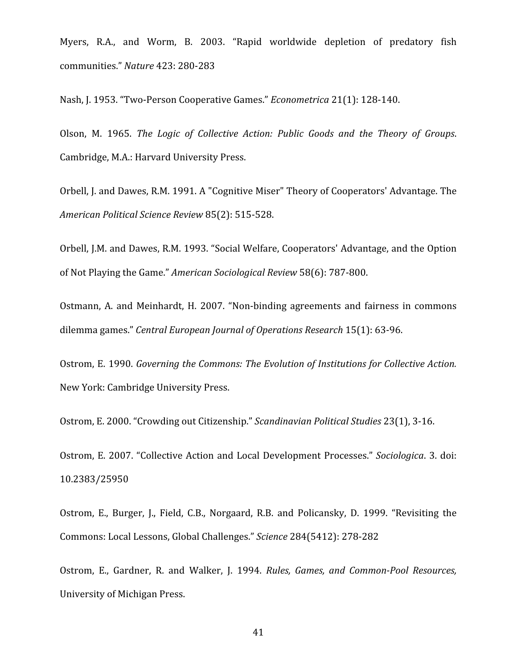Myers, R.A., and Worm, B. 2003. "Rapid worldwide depletion of predatory fish communities." *Nature* 423:
280‐283

Nash,
J.
1953.
"Two‐Person
Cooperative
Games." *Econometrica*21(1):
128‐140.

Olson, M. 1965. *The Logic of Collective Action: Public Goods and the Theory of Groups*. Cambridge,
M.A.:
Harvard
University
Press.

Orbell, J. and Dawes, R.M. 1991. A "Cognitive Miser" Theory of Cooperators' Advantage. The *American
Political
Science
Review*85(2):
515‐528.

Orbell,
J.M.
and
Dawes,
R.M.
1993.
"Social
Welfare,
Cooperators'
Advantage,
and
the
Option of
Not
Playing
the
Game." *American
Sociological
Review*58(6):
787‐800.

Ostmann, A. and Meinhardt, H. 2007. "Non-binding agreements and fairness in commons dilemma
games." *Central
European
Journal
of
Operations
Research*15(1):
63‐96.

Ostrom, E. 1990. *Governing the Commons: The Evolution of Institutions for Collective Action.* New
York:
Cambridge
University
Press.

Ostrom,
E.
2000.
"Crowding
out
Citizenship." *Scandinavian
Political
Studies*23(1),
3‐16.

Ostrom,
E.
2007.
"Collective
Action
and
Local
Development
Processes." *Sociologica*.
3.
doi: 10.2383/25950

Ostrom, E., Burger, J., Field, C.B., Norgaard, R.B. and Policansky, D. 1999. "Revisiting the Commons:
Local
Lessons,
Global
Challenges." *Science*284(5412):
278‐282

Ostrom, E., Gardner, R. and Walker, J. 1994. Rules, Games, and Common-Pool Resources, University
of
Michigan
Press.

41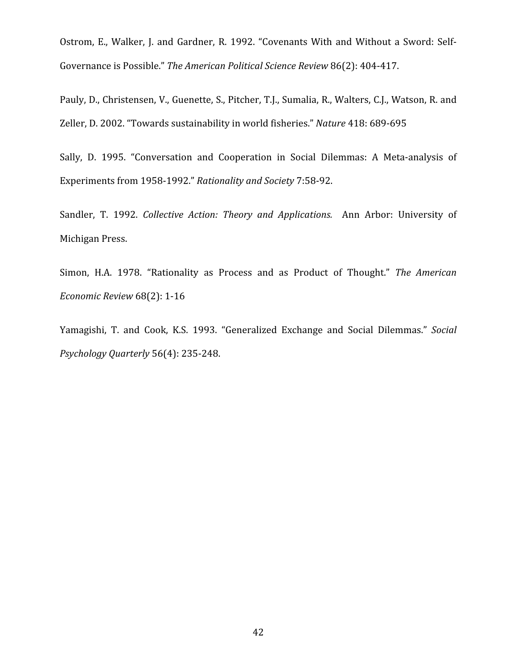Ostrom, E., Walker, J. and Gardner, R. 1992. "Covenants With and Without a Sword: Self-Governance is Possible." The American Political Science Review 86(2): 404-417.

Pauly, D., Christensen, V., Guenette, S., Pitcher, T.J., Sumalia, R., Walters, C.J., Watson, R. and Zeller,
D.
2002.
"Towards
sustainability
in
world
fisheries." *Nature*418:
689‐695

Sally, D. 1995. "Conversation and Cooperation in Social Dilemmas: A Meta-analysis of Experiments
from
1958‐1992." *Rationality
and
Society*7:58‐92.

Sandler, T. 1992. Collective Action: Theory and Applications. Ann Arbor: University of Michigan
Press.

Simon, H.A. 1978. "Rationality as Process and as Product of Thought." The American *Economic
Review*68(2):
1‐16

Yamagishi, T. and Cook, K.S. 1993. "Generalized Exchange and Social Dilemmas." Social *Psychology
Quarterly*56(4):
235‐248.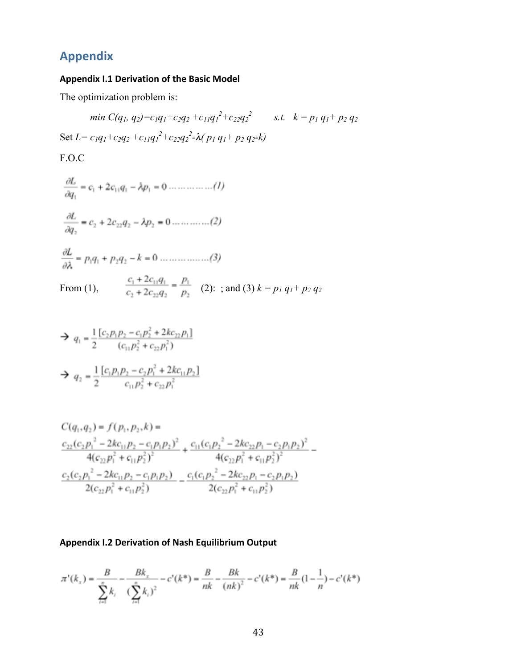# **Appendix**

## **Appendix
I.1
Derivation
of
the
Basic
Model**

The optimization problem is:

$$
min C(q_1, q_2) = c_1 q_1 + c_2 q_2 + c_{11} q_1^2 + c_{22} q_2^2 \qquad s.t. \quad k = p_1 q_1 + p_2 q_2
$$
  
Set  $L = c_1 q_1 + c_2 q_2 + c_{11} q_1^2 + c_{22} q_2^2 - \lambda (p_1 q_1 + p_2 q_2 - k)$ 

F.O.C

$$
\frac{\partial L}{\partial q_1} = c_1 + 2c_{11}q_1 - \lambda p_1 = 0 \dots \dots \dots \dots (1)
$$

$$
\frac{\partial L}{\partial q_2} = c_2 + 2c_{22}q_2 - \lambda p_2 = 0 \dots \dots \dots \dots (2)
$$

$$
\frac{\partial L}{\partial \lambda} = p_1 q_1 + p_2 q_2 - k = 0 \dots \dots \dots \dots \dots (3)
$$

From (1),  $\frac{c_1 + 2c_{11}q_1}{c_2 + 2c_{22}q_2} = \frac{p_1}{p_2}$  (2): ; and (3)  $k = p_1 q_1 + p_2 q_2$ 

$$
\Rightarrow q_1 = \frac{1}{2} \frac{[c_2 p_1 p_2 - c_1 p_2^2 + 2k c_{22} p_1]}{(c_{11} p_2^2 + c_{22} p_1^2)}
$$
  

$$
\Rightarrow q_2 = \frac{1}{2} \frac{[c_1 p_1 p_2 - c_2 p_1^2 + 2k c_{11} p_2]}{c_{11} p_2^2 + c_{22} p_1^2}
$$

$$
C(q_1, q_2) = f(p_1, p_2, k) =
$$
\n
$$
\frac{c_{22}(c_2p_1^2 - 2kc_{11}p_2 - c_1p_1p_2)^2}{4(c_{22}p_1^2 + c_{11}p_2^2)^2} + \frac{c_{11}(c_1p_2^2 - 2kc_{22}p_1 - c_2p_1p_2)^2}{4(c_{22}p_1^2 + c_{11}p_2^2)^2} - \frac{c_2(c_2p_1^2 - 2kc_{11}p_2 - c_1p_1p_2)}{2(c_{22}p_1^2 + c_{11}p_2^2)} - \frac{c_1(c_1p_2^2 - 2kc_{22}p_1 - c_2p_1p_2)}{2(c_{22}p_1^2 + c_{11}p_2^2)}
$$

## Appendix I.2 Derivation of Nash Equilibrium Output

$$
\pi'(k_x) = \frac{B}{\sum_{i=1}^n k_i} - \frac{Bk_x}{(\sum_{i=1}^n k_i)^2} - c'(k^*) = \frac{B}{nk} - \frac{Bk}{(nk)^2} - c'(k^*) = \frac{B}{nk}(1 - \frac{1}{n}) - c'(k^*)
$$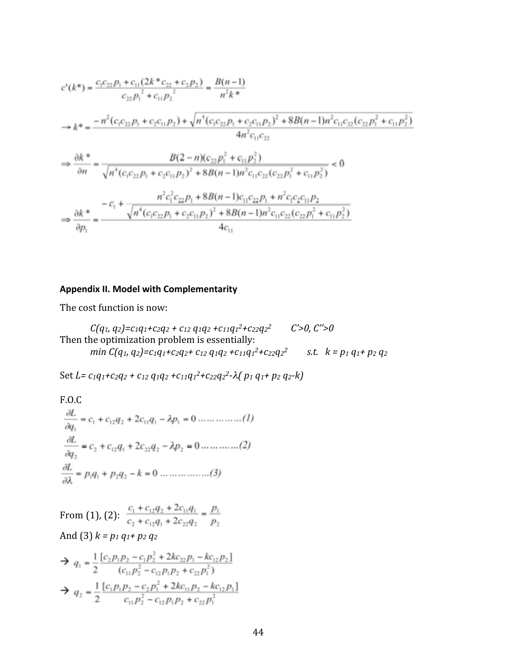$$
c'(k^*) = \frac{c_1c_{22}p_1 + c_{11}(2k^*c_{22} + c_2p_2)}{c_{22}p_1^2 + c_{11}p_2^2} = \frac{B(n-1)}{n^2k^*}
$$
  
\n
$$
\Rightarrow k^* = \frac{-n^2(c_1c_{22}p_1 + c_2c_{11}p_2) + \sqrt{n^4(c_1c_{22}p_1 + c_2c_{11}p_2)^2 + 8B(n-1)n^2c_{11}c_{22}(c_{22}p_1^2 + c_{11}p_2^2)}{4n^2c_{11}c_{22}}
$$
  
\n
$$
\Rightarrow \frac{\partial k}{\partial n} = \frac{B(2-n)(c_{22}p_1^2 + c_{11}p_2^2)}{\sqrt{n^4(c_1c_{22}p_1 + c_2c_{11}p_2)^2 + 8B(n-1)n^2c_{11}c_{22}(c_{22}p_1^2 + c_{11}p_2^2)}} < 0
$$
  
\n
$$
\Rightarrow \frac{\partial k}{\partial n} = \frac{n^2c_1^2c_{22}p_1 + 8B(n-1)n^2c_{11}c_{22}(c_{22}p_1^2 + c_{11}p_2^2)}{n^4c_1^2c_2c_{22}p_1 + 8B(n-1)c_{11}c_{22}p_1 + n^2c_1c_2c_{11}p_2} < 0
$$
  
\n
$$
\Rightarrow \frac{\partial k}{\partial p_1} = \frac{-c_1 + \frac{n^2c_1^2c_{22}p_1 + c_2c_{11}p_2}{\sqrt{n^4(c_1c_{22}p_1 + c_2c_{11}p_2)^2 + 8B(n-1)n^2c_{11}c_{22}(c_{22}p_1^2 + c_{11}p_2^2)}}{4c_{11}}
$$

# **Appendix
II.
Model
with
Complementarity**

The
cost
function
is
now:

$$
C(q_1, q_2) = c_1q_1 + c_2q_2 + c_{12}q_1q_2 + c_{11}q_1^2 + c_{22}q_2^2
$$
  
Then the optimization problem is essentially:  
*min*  $C(q_1, q_2) = c_1q_1 + c_2q_2 + c_{12}q_1q_2 + c_{11}q_1^2 + c_{22}q_2^2$  *s.t.*  $k = p_1 q_1 + p_2 q_2$ 

Set *L*= $c_1q_1+c_2q_2+c_{12}q_1q_2+c_{11}q_1^2+c_{22}q_2^2-\lambda(p_1q_1+p_2q_2-k)$ 

F.O.C  
\n
$$
\frac{\partial L}{\partial q_1} = c_1 + c_{12}q_2 + 2c_{11}q_1 - \lambda p_1 = 0 \dots \dots \dots \dots (1)
$$
\n
$$
\frac{\partial L}{\partial q_2} = c_2 + c_{12}q_1 + 2c_{22}q_2 - \lambda p_2 = 0 \dots \dots \dots \dots (2)
$$
\n
$$
\frac{\partial L}{\partial \lambda} = p_1q_1 + p_2q_2 - k = 0 \dots \dots \dots \dots (3)
$$

From (1), (2):  $\frac{c_1+c_{12}q_2+2c_{11}q_1}{c_2+c_{12}q_1+2c_{22}q_2}=\frac{p_1}{p_2}$ And
(3) *k
=
p1
q1+
p2
q2*

$$
\Rightarrow q_1 = \frac{1}{2} \frac{[c_2 p_1 p_2 - c_1 p_2^2 + 2kc_{22} p_1 - kc_{12} p_2]}{(c_{11} p_2^2 - c_{12} p_1 p_2 + c_{22} p_1^2)}
$$
  

$$
\Rightarrow q_2 = \frac{1}{2} \frac{[c_1 p_1 p_2 - c_2 p_1^2 + 2kc_{11} p_2 - kc_{12} p_1]}{c_{11} p_2^2 - c_{12} p_1 p_2 + c_{22} p_1^2}
$$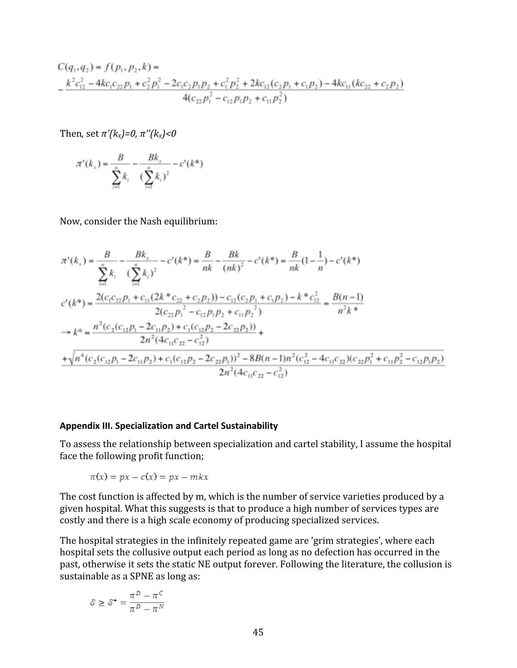$$
C(q_1, q_2) = f(p_1, p_2, k) =
$$
  

$$
-\frac{k^2 c_{12}^2 - 4kc_1c_{22}p_1 + c_2^2 p_1^2 - 2c_1c_2p_1p_2 + c_1^2 p_2^2 + 2kc_{12}(c_2p_1 + c_1p_2) - 4kc_{11}(kc_{22} + c_2p_2)}{4(c_{22}p_1^2 - c_{12}p_1p_2 + c_{11}p_2^2)}
$$

Then, set  $\pi'(k_x)=0$ ,  $\pi''(k_x) < 0$ 

$$
\pi'(k_x) = \frac{B}{\sum_{i=1}^{x} k_i} - \frac{Bk_x}{(\sum_{i=1}^{x} k_i)^2} - c'(k^*)
$$

Now,
consider
the
Nash
equilibrium:

$$
\pi^{*}(k_{x}) = \frac{B}{\sum_{i=1}^{n}k_{i}} - \frac{Bk_{x}}{(\sum_{i=1}^{n}k_{i})^{2}} - c^{*}(k^{*}) = \frac{B}{nk} - \frac{Bk}{(nk)^{2}} - c^{*}(k^{*}) = \frac{B}{nk}(1 - \frac{1}{n}) - c^{*}(k^{*})
$$
\n
$$
c^{*}(k^{*}) = \frac{2(c_{1}c_{22}p_{1} + c_{11}(2k^{*}c_{22} + c_{2}p_{2})) - c_{12}(c_{2}p_{1} + c_{1}p_{2}) - k^{*}c_{12}^{2}}{2(c_{22}p_{1}^{2} - c_{12}p_{1}p_{2} + c_{11}p_{2}^{2})} = \frac{B(n-1)}{n^{2}k^{*}}
$$
\n
$$
\rightarrow k^{*} = \frac{n^{2}(c_{2}(c_{12}p_{1} - 2c_{11}p_{2}) + c_{1}(c_{12}p_{2} - 2c_{22}p_{2}))}{2n^{2}(4c_{11}c_{22} - c_{12}^{2})} + \frac{1}{\sqrt{n^{4}(c_{2}(c_{12}p_{1} - 2c_{11}p_{2}) + c_{1}(c_{12}p_{2} - 2c_{22}p_{1}))^{2} - 8B(n-1)n^{2}(c_{12}^{2} - 4c_{11}c_{22})(c_{22}p_{1}^{2} + c_{11}p_{2}^{2} - c_{12}p_{1}p_{2})}}{2n^{2}(4c_{11}c_{22} - c_{12}^{2})}
$$

#### **Appendix
III.
Specialization
and
Cartel
Sustainability**

To
assess
the
relationship
between
specialization
and
cartel
stability,
I
assume
the
hospital face
the
following
profit
function;

$$
\pi(x) = px - c(x) = px - mkx
$$

The cost function is affected by m, which is the number of service varieties produced by a given hospital. What this suggests is that to produce a high number of services types are costly
and
there
is
a
high
scale
economy
of
producing
specialized
services.

The hospital strategies in the infinitely repeated game are 'grim strategies', where each hospital sets the collusive output each period as long as no defection has occurred in the past, otherwise it sets the static NE output forever. Following the literature, the collusion is sustainable
as
a
SPNE
as
long
as:

$$
\delta \geq \delta^{\bullet} = \frac{\pi^D - \pi^C}{\pi^D - \pi^N}
$$